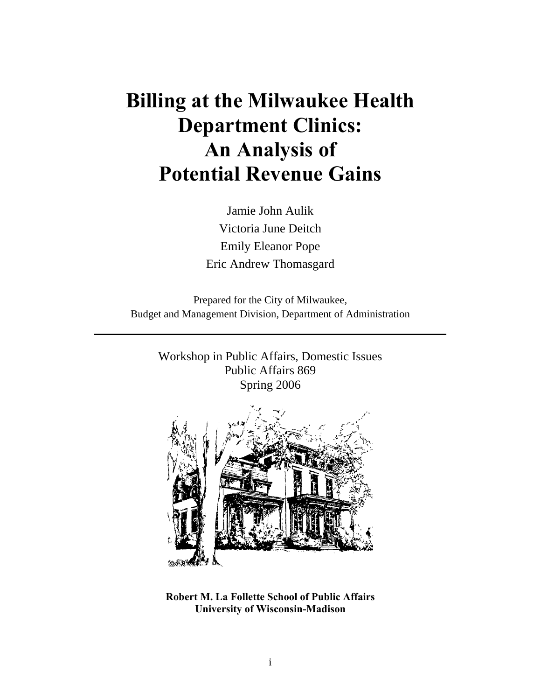# **Billing at the Milwaukee Health Department Clinics: An Analysis of Potential Revenue Gains**

Jamie John Aulik Victoria June Deitch Emily Eleanor Pope Eric Andrew Thomasgard

Prepared for the City of Milwaukee, Budget and Management Division, Department of Administration

Workshop in Public Affairs, Domestic Issues Public Affairs 869 Spring 2006



**Robert M. La Follette School of Public Affairs University of Wisconsin-Madison**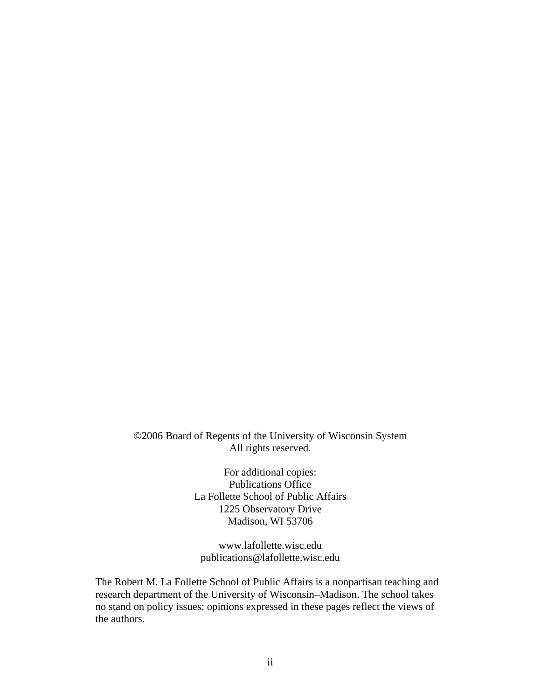©2006 Board of Regents of the University of Wisconsin System All rights reserved.

> For additional copies: Publications Office La Follette School of Public Affairs 1225 Observatory Drive Madison, WI 53706

www.lafollette.wisc.edu publications@lafollette.wisc.edu

The Robert M. La Follette School of Public Affairs is a nonpartisan teaching and research department of the University of Wisconsin–Madison. The school takes no stand on policy issues; opinions expressed in these pages reflect the views of the authors.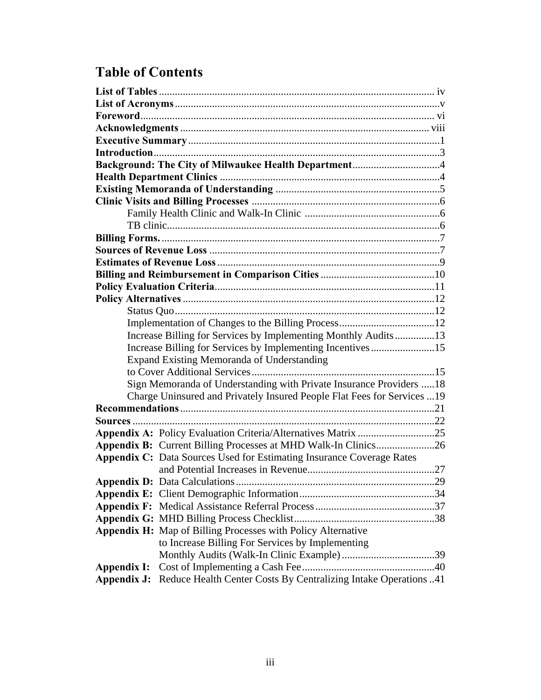# **Table of Contents**

|             | Background: The City of Milwaukee Health Department4                                                                                           |  |
|-------------|------------------------------------------------------------------------------------------------------------------------------------------------|--|
|             |                                                                                                                                                |  |
|             |                                                                                                                                                |  |
|             |                                                                                                                                                |  |
|             |                                                                                                                                                |  |
|             |                                                                                                                                                |  |
|             |                                                                                                                                                |  |
|             |                                                                                                                                                |  |
|             |                                                                                                                                                |  |
|             |                                                                                                                                                |  |
|             |                                                                                                                                                |  |
|             |                                                                                                                                                |  |
|             |                                                                                                                                                |  |
|             |                                                                                                                                                |  |
|             | Increase Billing for Services by Implementing Monthly Audits13                                                                                 |  |
|             | Increase Billing for Services by Implementing Incentives15                                                                                     |  |
|             | <b>Expand Existing Memoranda of Understanding</b>                                                                                              |  |
|             |                                                                                                                                                |  |
|             | Sign Memoranda of Understanding with Private Insurance Providers 18                                                                            |  |
|             | Charge Uninsured and Privately Insured People Flat Fees for Services 19                                                                        |  |
|             |                                                                                                                                                |  |
|             |                                                                                                                                                |  |
|             | Appendix A: Policy Evaluation Criteria/Alternatives Matrix 25                                                                                  |  |
|             |                                                                                                                                                |  |
|             | Appendix B: Current Billing Processes at MHD Walk-In Clinics26<br><b>Appendix C:</b> Data Sources Used for Estimating Insurance Coverage Rates |  |
|             |                                                                                                                                                |  |
|             |                                                                                                                                                |  |
|             |                                                                                                                                                |  |
|             |                                                                                                                                                |  |
|             |                                                                                                                                                |  |
|             |                                                                                                                                                |  |
|             | <b>Appendix H:</b> Map of Billing Processes with Policy Alternative                                                                            |  |
|             | to Increase Billing For Services by Implementing                                                                                               |  |
|             |                                                                                                                                                |  |
| Appendix I: |                                                                                                                                                |  |
| Appendix J: | Reduce Health Center Costs By Centralizing Intake Operations 41                                                                                |  |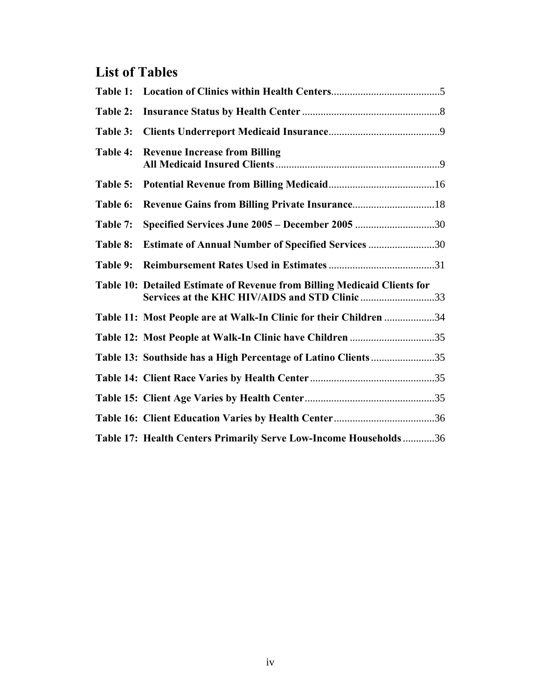## **List of Tables**

| Table 1: |                                                                                                                            |  |
|----------|----------------------------------------------------------------------------------------------------------------------------|--|
| Table 2: |                                                                                                                            |  |
| Table 3: |                                                                                                                            |  |
| Table 4: | <b>Revenue Increase from Billing</b>                                                                                       |  |
| Table 5: |                                                                                                                            |  |
| Table 6: |                                                                                                                            |  |
| Table 7: | Specified Services June 2005 - December 2005 30                                                                            |  |
| Table 8: | <b>Estimate of Annual Number of Specified Services 30</b>                                                                  |  |
| Table 9: |                                                                                                                            |  |
|          | Table 10: Detailed Estimate of Revenue from Billing Medicaid Clients for<br>Services at the KHC HIV/AIDS and STD Clinic 33 |  |
|          | Table 11: Most People are at Walk-In Clinic for their Children 34                                                          |  |
|          | Table 12: Most People at Walk-In Clinic have Children 35                                                                   |  |
|          | Table 13: Southside has a High Percentage of Latino Clients35                                                              |  |
|          |                                                                                                                            |  |
|          |                                                                                                                            |  |
|          |                                                                                                                            |  |
|          | Table 17: Health Centers Primarily Serve Low-Income Households36                                                           |  |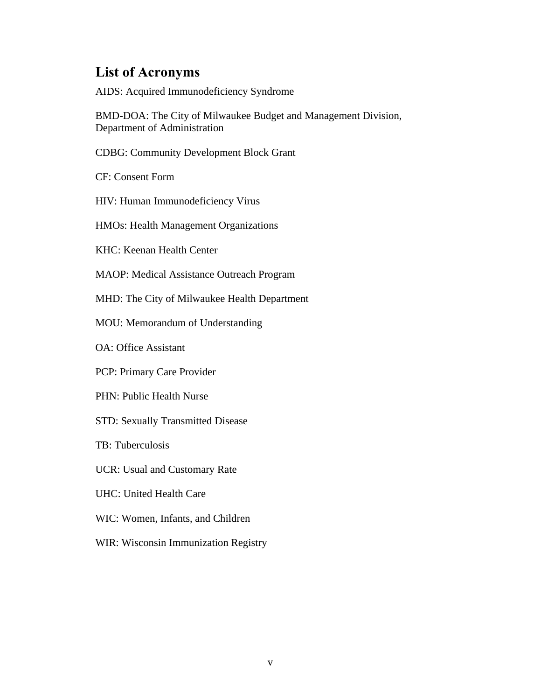### **List of Acronyms**

AIDS: Acquired Immunodeficiency Syndrome

BMD-DOA: The City of Milwaukee Budget and Management Division, Department of Administration

CDBG: Community Development Block Grant

CF: Consent Form

HIV: Human Immunodeficiency Virus

HMOs: Health Management Organizations

KHC: Keenan Health Center

MAOP: Medical Assistance Outreach Program

MHD: The City of Milwaukee Health Department

MOU: Memorandum of Understanding

OA: Office Assistant

PCP: Primary Care Provider

PHN: Public Health Nurse

STD: Sexually Transmitted Disease

TB: Tuberculosis

UCR: Usual and Customary Rate

UHC: United Health Care

WIC: Women, Infants, and Children

WIR: Wisconsin Immunization Registry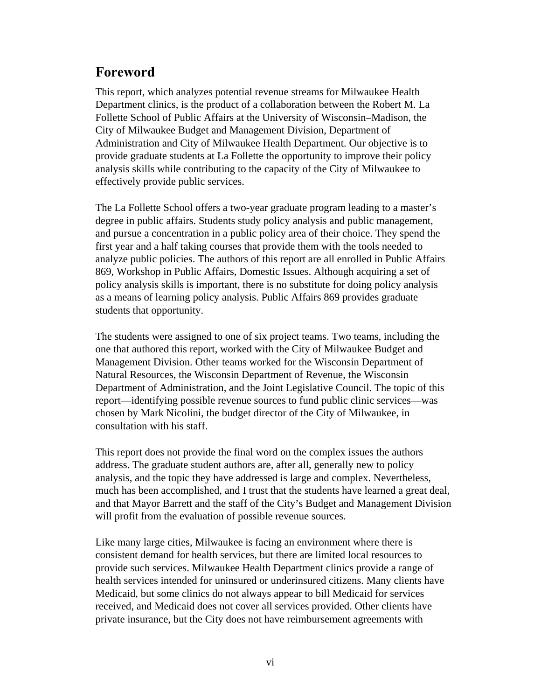### **Foreword**

This report, which analyzes potential revenue streams for Milwaukee Health Department clinics, is the product of a collaboration between the Robert M. La Follette School of Public Affairs at the University of Wisconsin–Madison, the City of Milwaukee Budget and Management Division, Department of Administration and City of Milwaukee Health Department. Our objective is to provide graduate students at La Follette the opportunity to improve their policy analysis skills while contributing to the capacity of the City of Milwaukee to effectively provide public services.

The La Follette School offers a two-year graduate program leading to a master's degree in public affairs. Students study policy analysis and public management, and pursue a concentration in a public policy area of their choice. They spend the first year and a half taking courses that provide them with the tools needed to analyze public policies. The authors of this report are all enrolled in Public Affairs 869, Workshop in Public Affairs, Domestic Issues. Although acquiring a set of policy analysis skills is important, there is no substitute for doing policy analysis as a means of learning policy analysis. Public Affairs 869 provides graduate students that opportunity.

The students were assigned to one of six project teams. Two teams, including the one that authored this report, worked with the City of Milwaukee Budget and Management Division. Other teams worked for the Wisconsin Department of Natural Resources, the Wisconsin Department of Revenue, the Wisconsin Department of Administration, and the Joint Legislative Council. The topic of this report—identifying possible revenue sources to fund public clinic services—was chosen by Mark Nicolini, the budget director of the City of Milwaukee, in consultation with his staff.

This report does not provide the final word on the complex issues the authors address. The graduate student authors are, after all, generally new to policy analysis, and the topic they have addressed is large and complex. Nevertheless, much has been accomplished, and I trust that the students have learned a great deal, and that Mayor Barrett and the staff of the City's Budget and Management Division will profit from the evaluation of possible revenue sources.

Like many large cities, Milwaukee is facing an environment where there is consistent demand for health services, but there are limited local resources to provide such services. Milwaukee Health Department clinics provide a range of health services intended for uninsured or underinsured citizens. Many clients have Medicaid, but some clinics do not always appear to bill Medicaid for services received, and Medicaid does not cover all services provided. Other clients have private insurance, but the City does not have reimbursement agreements with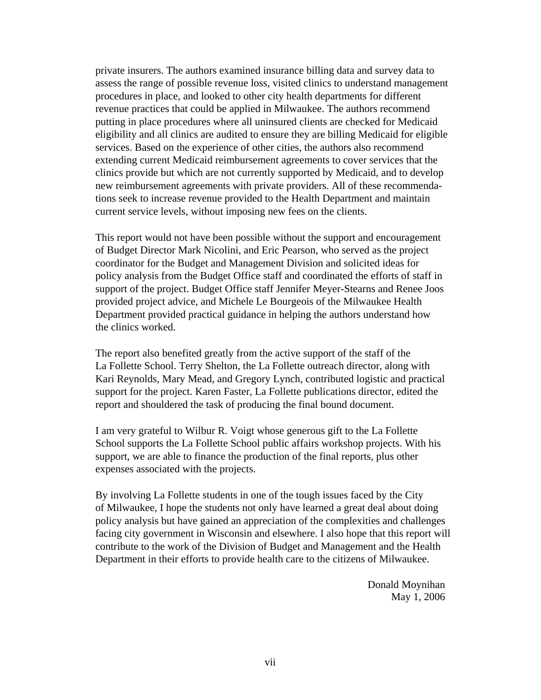private insurers. The authors examined insurance billing data and survey data to assess the range of possible revenue loss, visited clinics to understand management procedures in place, and looked to other city health departments for different revenue practices that could be applied in Milwaukee. The authors recommend putting in place procedures where all uninsured clients are checked for Medicaid eligibility and all clinics are audited to ensure they are billing Medicaid for eligible services. Based on the experience of other cities, the authors also recommend extending current Medicaid reimbursement agreements to cover services that the clinics provide but which are not currently supported by Medicaid, and to develop new reimbursement agreements with private providers. All of these recommendations seek to increase revenue provided to the Health Department and maintain current service levels, without imposing new fees on the clients.

This report would not have been possible without the support and encouragement of Budget Director Mark Nicolini, and Eric Pearson, who served as the project coordinator for the Budget and Management Division and solicited ideas for policy analysis from the Budget Office staff and coordinated the efforts of staff in support of the project. Budget Office staff Jennifer Meyer-Stearns and Renee Joos provided project advice, and Michele Le Bourgeois of the Milwaukee Health Department provided practical guidance in helping the authors understand how the clinics worked.

The report also benefited greatly from the active support of the staff of the La Follette School. Terry Shelton, the La Follette outreach director, along with Kari Reynolds, Mary Mead, and Gregory Lynch, contributed logistic and practical support for the project. Karen Faster, La Follette publications director, edited the report and shouldered the task of producing the final bound document.

I am very grateful to Wilbur R. Voigt whose generous gift to the La Follette School supports the La Follette School public affairs workshop projects. With his support, we are able to finance the production of the final reports, plus other expenses associated with the projects.

By involving La Follette students in one of the tough issues faced by the City of Milwaukee, I hope the students not only have learned a great deal about doing policy analysis but have gained an appreciation of the complexities and challenges facing city government in Wisconsin and elsewhere. I also hope that this report will contribute to the work of the Division of Budget and Management and the Health Department in their efforts to provide health care to the citizens of Milwaukee.

> Donald Moynihan May 1, 2006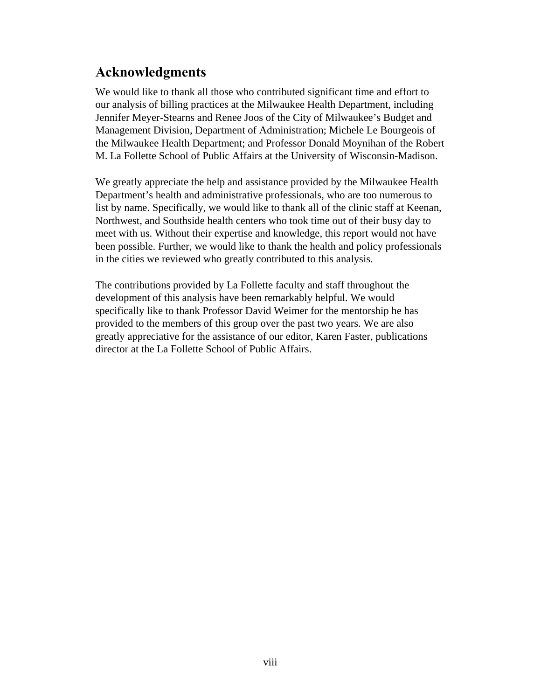### **Acknowledgments**

We would like to thank all those who contributed significant time and effort to our analysis of billing practices at the Milwaukee Health Department, including Jennifer Meyer-Stearns and Renee Joos of the City of Milwaukee's Budget and Management Division, Department of Administration; Michele Le Bourgeois of the Milwaukee Health Department; and Professor Donald Moynihan of the Robert M. La Follette School of Public Affairs at the University of Wisconsin-Madison.

We greatly appreciate the help and assistance provided by the Milwaukee Health Department's health and administrative professionals, who are too numerous to list by name. Specifically, we would like to thank all of the clinic staff at Keenan, Northwest, and Southside health centers who took time out of their busy day to meet with us. Without their expertise and knowledge, this report would not have been possible. Further, we would like to thank the health and policy professionals in the cities we reviewed who greatly contributed to this analysis.

The contributions provided by La Follette faculty and staff throughout the development of this analysis have been remarkably helpful. We would specifically like to thank Professor David Weimer for the mentorship he has provided to the members of this group over the past two years. We are also greatly appreciative for the assistance of our editor, Karen Faster, publications director at the La Follette School of Public Affairs.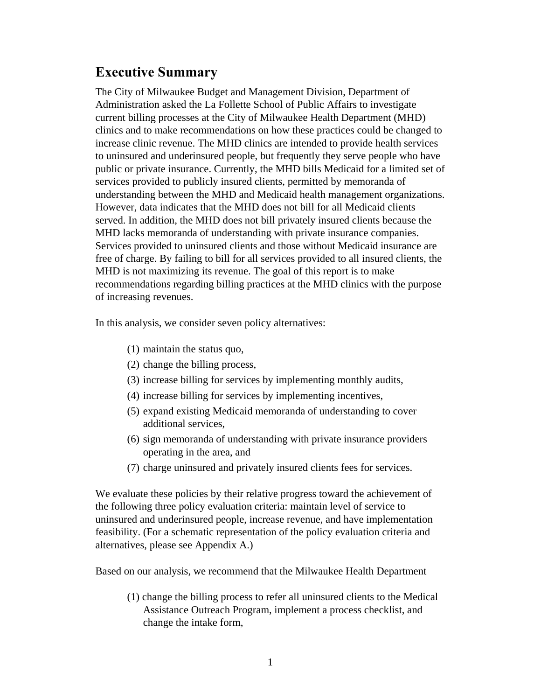### **Executive Summary**

The City of Milwaukee Budget and Management Division, Department of Administration asked the La Follette School of Public Affairs to investigate current billing processes at the City of Milwaukee Health Department (MHD) clinics and to make recommendations on how these practices could be changed to increase clinic revenue. The MHD clinics are intended to provide health services to uninsured and underinsured people, but frequently they serve people who have public or private insurance. Currently, the MHD bills Medicaid for a limited set of services provided to publicly insured clients, permitted by memoranda of understanding between the MHD and Medicaid health management organizations. However, data indicates that the MHD does not bill for all Medicaid clients served. In addition, the MHD does not bill privately insured clients because the MHD lacks memoranda of understanding with private insurance companies. Services provided to uninsured clients and those without Medicaid insurance are free of charge. By failing to bill for all services provided to all insured clients, the MHD is not maximizing its revenue. The goal of this report is to make recommendations regarding billing practices at the MHD clinics with the purpose of increasing revenues.

In this analysis, we consider seven policy alternatives:

- (1) maintain the status quo,
- (2) change the billing process,
- (3) increase billing for services by implementing monthly audits,
- (4) increase billing for services by implementing incentives,
- (5) expand existing Medicaid memoranda of understanding to cover additional services,
- (6) sign memoranda of understanding with private insurance providers operating in the area, and
- (7) charge uninsured and privately insured clients fees for services.

We evaluate these policies by their relative progress toward the achievement of the following three policy evaluation criteria: maintain level of service to uninsured and underinsured people, increase revenue, and have implementation feasibility. (For a schematic representation of the policy evaluation criteria and alternatives, please see Appendix A.)

Based on our analysis, we recommend that the Milwaukee Health Department

(1) change the billing process to refer all uninsured clients to the Medical Assistance Outreach Program, implement a process checklist, and change the intake form,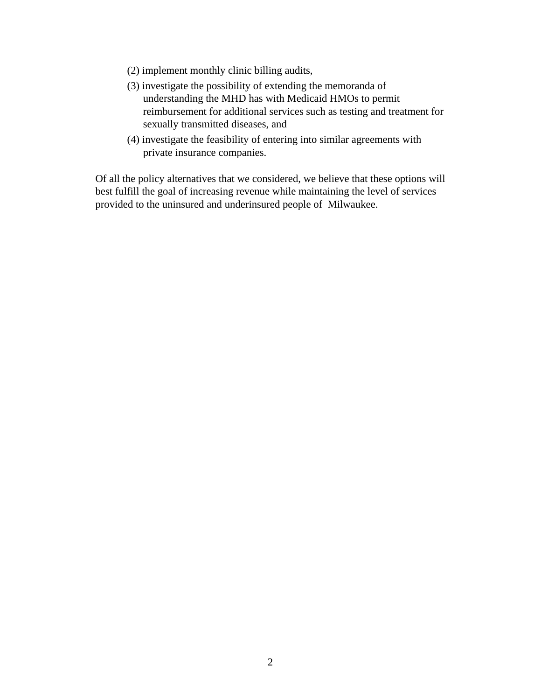- (2) implement monthly clinic billing audits,
- (3) investigate the possibility of extending the memoranda of understanding the MHD has with Medicaid HMOs to permit reimbursement for additional services such as testing and treatment for sexually transmitted diseases, and
- (4) investigate the feasibility of entering into similar agreements with private insurance companies.

Of all the policy alternatives that we considered, we believe that these options will best fulfill the goal of increasing revenue while maintaining the level of services provided to the uninsured and underinsured people of Milwaukee.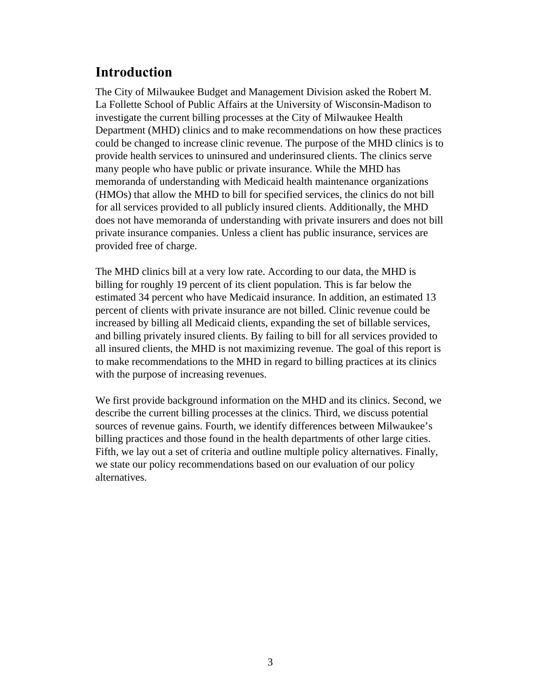### **Introduction**

The City of Milwaukee Budget and Management Division asked the Robert M. La Follette School of Public Affairs at the University of Wisconsin-Madison to investigate the current billing processes at the City of Milwaukee Health Department (MHD) clinics and to make recommendations on how these practices could be changed to increase clinic revenue. The purpose of the MHD clinics is to provide health services to uninsured and underinsured clients. The clinics serve many people who have public or private insurance. While the MHD has memoranda of understanding with Medicaid health maintenance organizations (HMOs) that allow the MHD to bill for specified services, the clinics do not bill for all services provided to all publicly insured clients. Additionally, the MHD does not have memoranda of understanding with private insurers and does not bill private insurance companies. Unless a client has public insurance, services are provided free of charge.

The MHD clinics bill at a very low rate. According to our data, the MHD is billing for roughly 19 percent of its client population. This is far below the estimated 34 percent who have Medicaid insurance. In addition, an estimated 13 percent of clients with private insurance are not billed. Clinic revenue could be increased by billing all Medicaid clients, expanding the set of billable services, and billing privately insured clients. By failing to bill for all services provided to all insured clients, the MHD is not maximizing revenue. The goal of this report is to make recommendations to the MHD in regard to billing practices at its clinics with the purpose of increasing revenues.

We first provide background information on the MHD and its clinics. Second, we describe the current billing processes at the clinics. Third, we discuss potential sources of revenue gains. Fourth, we identify differences between Milwaukee's billing practices and those found in the health departments of other large cities. Fifth, we lay out a set of criteria and outline multiple policy alternatives. Finally, we state our policy recommendations based on our evaluation of our policy alternatives.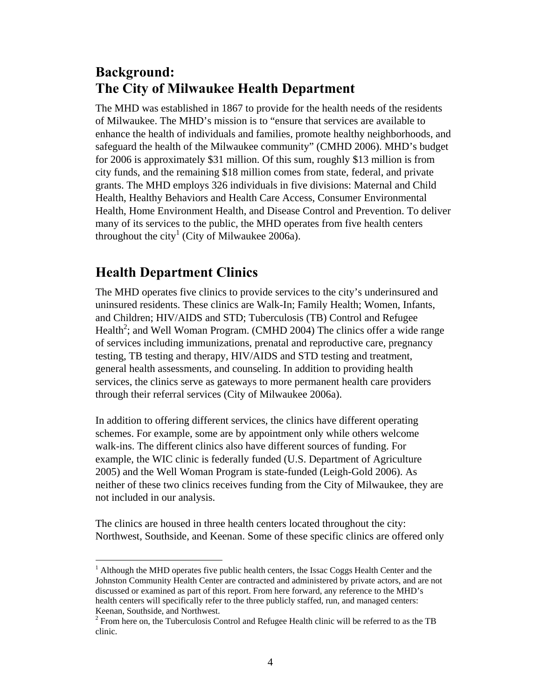### **Background: The City of Milwaukee Health Department**

The MHD was established in 1867 to provide for the health needs of the residents of Milwaukee. The MHD's mission is to "ensure that services are available to enhance the health of individuals and families, promote healthy neighborhoods, and safeguard the health of the Milwaukee community" (CMHD 2006). MHD's budget for 2006 is approximately \$31 million. Of this sum, roughly \$13 million is from city funds, and the remaining \$18 million comes from state, federal, and private grants. The MHD employs 326 individuals in five divisions: Maternal and Child Health, Healthy Behaviors and Health Care Access, Consumer Environmental Health, Home Environment Health, and Disease Control and Prevention. To deliver many of its services to the public, the MHD operates from five health centers throughout the city<sup>1</sup> (City of Milwaukee 2006a).

### **Health Department Clinics**

The MHD operates five clinics to provide services to the city's underinsured and uninsured residents. These clinics are Walk-In; Family Health; Women, Infants, and Children; HIV/AIDS and STD; Tuberculosis (TB) Control and Refugee Health<sup>2</sup>; and Well Woman Program. (CMHD 2004) The clinics offer a wide range of services including immunizations, prenatal and reproductive care, pregnancy testing, TB testing and therapy, HIV/AIDS and STD testing and treatment, general health assessments, and counseling. In addition to providing health services, the clinics serve as gateways to more permanent health care providers through their referral services (City of Milwaukee 2006a).

In addition to offering different services, the clinics have different operating schemes. For example, some are by appointment only while others welcome walk-ins. The different clinics also have different sources of funding. For example, the WIC clinic is federally funded (U.S. Department of Agriculture 2005) and the Well Woman Program is state-funded (Leigh-Gold 2006). As neither of these two clinics receives funding from the City of Milwaukee, they are not included in our analysis.

The clinics are housed in three health centers located throughout the city: Northwest, Southside, and Keenan. Some of these specific clinics are offered only

 $\overline{a}$  $<sup>1</sup>$  Although the MHD operates five public health centers, the Issac Coggs Health Center and the</sup> Johnston Community Health Center are contracted and administered by private actors, and are not discussed or examined as part of this report. From here forward, any reference to the MHD's health centers will specifically refer to the three publicly staffed, run, and managed centers: Keenan, Southside, and Northwest.

 $2^2$  From here on, the Tuberculosis Control and Refugee Health clinic will be referred to as the TB clinic.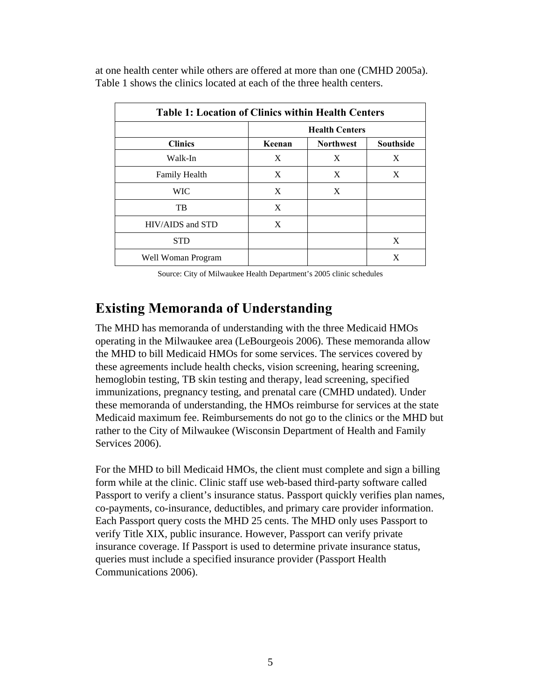| <b>Table 1: Location of Clinics within Health Centers</b> |        |                       |                  |  |  |  |
|-----------------------------------------------------------|--------|-----------------------|------------------|--|--|--|
|                                                           |        | <b>Health Centers</b> |                  |  |  |  |
| <b>Clinics</b>                                            | Keenan | <b>Northwest</b>      | <b>Southside</b> |  |  |  |
| Walk-In                                                   | X      | X                     | X                |  |  |  |
| <b>Family Health</b>                                      | X      | X                     | X                |  |  |  |
| <b>WIC</b>                                                | X      | X                     |                  |  |  |  |
| TB                                                        | X      |                       |                  |  |  |  |
| HIV/AIDS and STD                                          | X      |                       |                  |  |  |  |
| <b>STD</b>                                                |        |                       | X                |  |  |  |
| Well Woman Program                                        |        |                       | X                |  |  |  |

at one health center while others are offered at more than one (CMHD 2005a). Table 1 shows the clinics located at each of the three health centers.

Source: City of Milwaukee Health Department's 2005 clinic schedules

### **Existing Memoranda of Understanding**

The MHD has memoranda of understanding with the three Medicaid HMOs operating in the Milwaukee area (LeBourgeois 2006). These memoranda allow the MHD to bill Medicaid HMOs for some services. The services covered by these agreements include health checks, vision screening, hearing screening, hemoglobin testing, TB skin testing and therapy, lead screening, specified immunizations, pregnancy testing, and prenatal care (CMHD undated). Under these memoranda of understanding, the HMOs reimburse for services at the state Medicaid maximum fee. Reimbursements do not go to the clinics or the MHD but rather to the City of Milwaukee (Wisconsin Department of Health and Family Services 2006).

For the MHD to bill Medicaid HMOs, the client must complete and sign a billing form while at the clinic. Clinic staff use web-based third-party software called Passport to verify a client's insurance status. Passport quickly verifies plan names, co-payments, co-insurance, deductibles, and primary care provider information. Each Passport query costs the MHD 25 cents. The MHD only uses Passport to verify Title XIX, public insurance. However, Passport can verify private insurance coverage. If Passport is used to determine private insurance status, queries must include a specified insurance provider (Passport Health Communications 2006).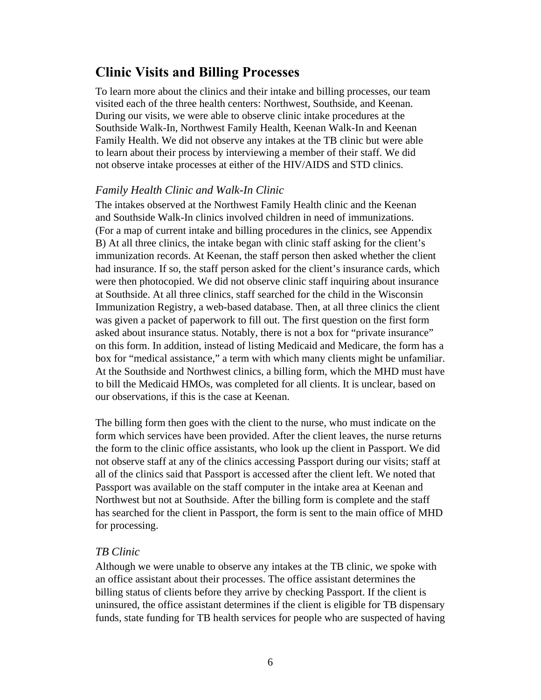### **Clinic Visits and Billing Processes**

To learn more about the clinics and their intake and billing processes, our team visited each of the three health centers: Northwest, Southside, and Keenan. During our visits, we were able to observe clinic intake procedures at the Southside Walk-In, Northwest Family Health, Keenan Walk-In and Keenan Family Health. We did not observe any intakes at the TB clinic but were able to learn about their process by interviewing a member of their staff. We did not observe intake processes at either of the HIV/AIDS and STD clinics.

#### *Family Health Clinic and Walk-In Clinic*

The intakes observed at the Northwest Family Health clinic and the Keenan and Southside Walk-In clinics involved children in need of immunizations. (For a map of current intake and billing procedures in the clinics, see Appendix B) At all three clinics, the intake began with clinic staff asking for the client's immunization records. At Keenan, the staff person then asked whether the client had insurance. If so, the staff person asked for the client's insurance cards, which were then photocopied. We did not observe clinic staff inquiring about insurance at Southside. At all three clinics, staff searched for the child in the Wisconsin Immunization Registry, a web-based database. Then, at all three clinics the client was given a packet of paperwork to fill out. The first question on the first form asked about insurance status. Notably, there is not a box for "private insurance" on this form. In addition, instead of listing Medicaid and Medicare, the form has a box for "medical assistance," a term with which many clients might be unfamiliar. At the Southside and Northwest clinics, a billing form, which the MHD must have to bill the Medicaid HMOs, was completed for all clients. It is unclear, based on our observations, if this is the case at Keenan.

The billing form then goes with the client to the nurse, who must indicate on the form which services have been provided. After the client leaves, the nurse returns the form to the clinic office assistants, who look up the client in Passport. We did not observe staff at any of the clinics accessing Passport during our visits; staff at all of the clinics said that Passport is accessed after the client left. We noted that Passport was available on the staff computer in the intake area at Keenan and Northwest but not at Southside. After the billing form is complete and the staff has searched for the client in Passport, the form is sent to the main office of MHD for processing.

#### *TB Clinic*

Although we were unable to observe any intakes at the TB clinic, we spoke with an office assistant about their processes. The office assistant determines the billing status of clients before they arrive by checking Passport. If the client is uninsured, the office assistant determines if the client is eligible for TB dispensary funds, state funding for TB health services for people who are suspected of having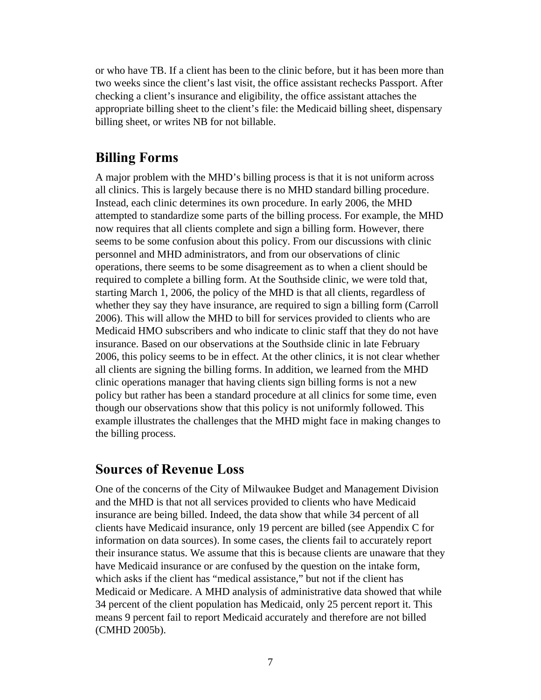or who have TB. If a client has been to the clinic before, but it has been more than two weeks since the client's last visit, the office assistant rechecks Passport. After checking a client's insurance and eligibility, the office assistant attaches the appropriate billing sheet to the client's file: the Medicaid billing sheet, dispensary billing sheet, or writes NB for not billable.

### **Billing Forms**

A major problem with the MHD's billing process is that it is not uniform across all clinics. This is largely because there is no MHD standard billing procedure. Instead, each clinic determines its own procedure. In early 2006, the MHD attempted to standardize some parts of the billing process. For example, the MHD now requires that all clients complete and sign a billing form. However, there seems to be some confusion about this policy. From our discussions with clinic personnel and MHD administrators, and from our observations of clinic operations, there seems to be some disagreement as to when a client should be required to complete a billing form. At the Southside clinic, we were told that, starting March 1, 2006, the policy of the MHD is that all clients, regardless of whether they say they have insurance, are required to sign a billing form (Carroll 2006). This will allow the MHD to bill for services provided to clients who are Medicaid HMO subscribers and who indicate to clinic staff that they do not have insurance. Based on our observations at the Southside clinic in late February 2006, this policy seems to be in effect. At the other clinics, it is not clear whether all clients are signing the billing forms. In addition, we learned from the MHD clinic operations manager that having clients sign billing forms is not a new policy but rather has been a standard procedure at all clinics for some time, even though our observations show that this policy is not uniformly followed. This example illustrates the challenges that the MHD might face in making changes to the billing process.

#### **Sources of Revenue Loss**

One of the concerns of the City of Milwaukee Budget and Management Division and the MHD is that not all services provided to clients who have Medicaid insurance are being billed. Indeed, the data show that while 34 percent of all clients have Medicaid insurance, only 19 percent are billed (see Appendix C for information on data sources). In some cases, the clients fail to accurately report their insurance status. We assume that this is because clients are unaware that they have Medicaid insurance or are confused by the question on the intake form, which asks if the client has "medical assistance," but not if the client has Medicaid or Medicare. A MHD analysis of administrative data showed that while 34 percent of the client population has Medicaid, only 25 percent report it. This means 9 percent fail to report Medicaid accurately and therefore are not billed (CMHD 2005b).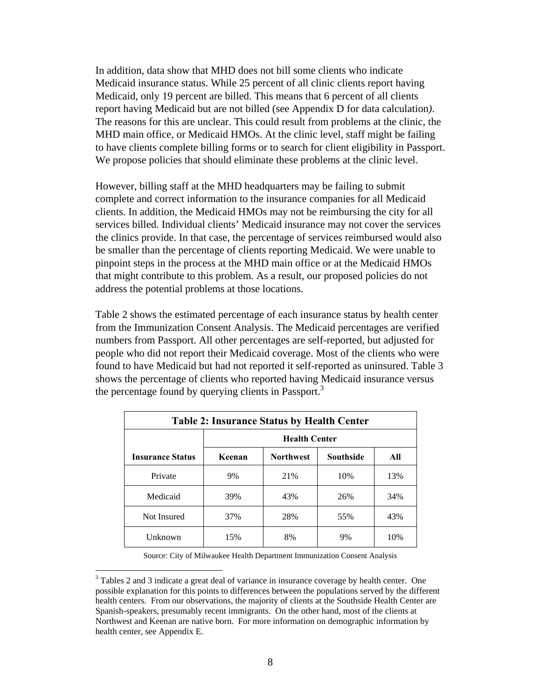In addition, data show that MHD does not bill some clients who indicate Medicaid insurance status. While 25 percent of all clinic clients report having Medicaid, only 19 percent are billed. This means that 6 percent of all clients report having Medicaid but are not billed (see Appendix D for data calculation*)*. The reasons for this are unclear. This could result from problems at the clinic, the MHD main office, or Medicaid HMOs. At the clinic level, staff might be failing to have clients complete billing forms or to search for client eligibility in Passport. We propose policies that should eliminate these problems at the clinic level.

However, billing staff at the MHD headquarters may be failing to submit complete and correct information to the insurance companies for all Medicaid clients. In addition, the Medicaid HMOs may not be reimbursing the city for all services billed. Individual clients' Medicaid insurance may not cover the services the clinics provide. In that case, the percentage of services reimbursed would also be smaller than the percentage of clients reporting Medicaid. We were unable to pinpoint steps in the process at the MHD main office or at the Medicaid HMOs that might contribute to this problem. As a result, our proposed policies do not address the potential problems at those locations.

Table 2 shows the estimated percentage of each insurance status by health center from the Immunization Consent Analysis. The Medicaid percentages are verified numbers from Passport. All other percentages are self-reported, but adjusted for people who did not report their Medicaid coverage. Most of the clients who were found to have Medicaid but had not reported it self-reported as uninsured. Table 3 shows the percentage of clients who reported having Medicaid insurance versus the percentage found by querying clients in Passport.<sup>3</sup>

| <b>Table 2: Insurance Status by Health Center</b> |        |                      |                  |     |  |  |  |
|---------------------------------------------------|--------|----------------------|------------------|-----|--|--|--|
|                                                   |        | <b>Health Center</b> |                  |     |  |  |  |
| <b>Insurance Status</b>                           | Keenan | <b>Northwest</b>     | <b>Southside</b> | All |  |  |  |
| Private                                           | 9%     | 21%                  | 10%              | 13% |  |  |  |
| Medicaid                                          | 39%    | 43%                  | 26%              | 34% |  |  |  |
| Not Insured                                       | 37%    | 28%                  | 55%              | 43% |  |  |  |
| Unknown                                           | 15%    | 8%                   | 9%               | 10% |  |  |  |

Source: City of Milwaukee Health Department Immunization Consent Analysis

 $3$  Tables 2 and 3 indicate a great deal of variance in insurance coverage by health center. One possible explanation for this points to differences between the populations served by the different health centers. From our observations, the majority of clients at the Southside Health Center are Spanish-speakers, presumably recent immigrants. On the other hand, most of the clients at Northwest and Keenan are native born. For more information on demographic information by health center, see Appendix E.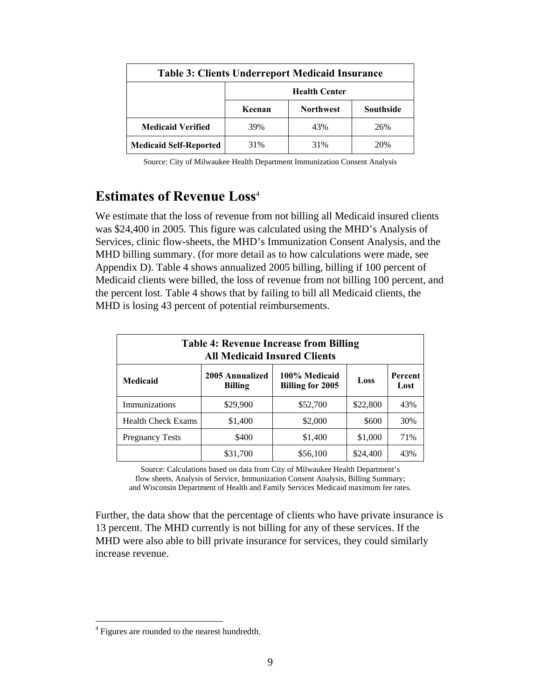| <b>Table 3: Clients Underreport Medicaid Insurance</b> |                      |                  |                  |  |  |  |
|--------------------------------------------------------|----------------------|------------------|------------------|--|--|--|
|                                                        | <b>Health Center</b> |                  |                  |  |  |  |
|                                                        | Keenan               | <b>Northwest</b> | <b>Southside</b> |  |  |  |
| <b>Medicaid Verified</b>                               | 39%                  | 43%              | 26%              |  |  |  |
| <b>Medicaid Self-Reported</b>                          | 31%                  | 31%              | 20%              |  |  |  |

Source: City of Milwaukee Health Department Immunization Consent Analysis

### **Estimates of Revenue Loss**<sup>4</sup>

We estimate that the loss of revenue from not billing all Medicaid insured clients was \$24,400 in 2005. This figure was calculated using the MHD's Analysis of Services, clinic flow-sheets, the MHD's Immunization Consent Analysis, and the MHD billing summary. (for more detail as to how calculations were made, see Appendix D). Table 4 shows annualized 2005 billing, billing if 100 percent of Medicaid clients were billed, the loss of revenue from not billing 100 percent, and the percent lost. Table 4 shows that by failing to bill all Medicaid clients, the MHD is losing 43 percent of potential reimbursements.

| <b>Table 4: Revenue Increase from Billing</b><br><b>All Medicaid Insured Clients</b> |                                   |                                   |          |                 |  |  |  |  |
|--------------------------------------------------------------------------------------|-----------------------------------|-----------------------------------|----------|-----------------|--|--|--|--|
| Medicaid                                                                             | 2005 Annualized<br><b>Billing</b> | 100% Medicaid<br>Billing for 2005 | Loss     | Percent<br>Lost |  |  |  |  |
| Immunizations                                                                        | \$29,900                          | \$52,700                          | \$22,800 | 43%             |  |  |  |  |
| <b>Health Check Exams</b>                                                            | \$1,400                           | \$2,000                           | \$600    | 30%             |  |  |  |  |
| <b>Pregnancy Tests</b>                                                               | \$400                             | \$1,400                           | \$1,000  | 71%             |  |  |  |  |
|                                                                                      | \$31,700                          | \$56,100                          | \$24,400 | 43%             |  |  |  |  |

Source: Calculations based on data from City of Milwaukee Health Department's flow sheets, Analysis of Service, Immunization Consent Analysis, Billing Summary; and Wisconsin Department of Health and Family Services Medicaid maximum fee rates.

Further, the data show that the percentage of clients who have private insurance is 13 percent. The MHD currently is not billing for any of these services. If the MHD were also able to bill private insurance for services, they could similarly increase revenue.

<sup>&</sup>lt;sup>4</sup> Figures are rounded to the nearest hundredth.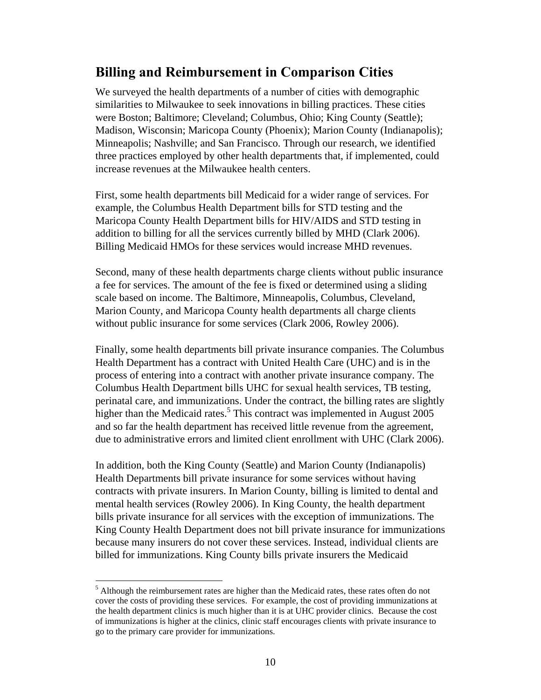### **Billing and Reimbursement in Comparison Cities**

We surveyed the health departments of a number of cities with demographic similarities to Milwaukee to seek innovations in billing practices. These cities were Boston; Baltimore; Cleveland; Columbus, Ohio; King County (Seattle); Madison, Wisconsin; Maricopa County (Phoenix); Marion County (Indianapolis); Minneapolis; Nashville; and San Francisco. Through our research, we identified three practices employed by other health departments that, if implemented, could increase revenues at the Milwaukee health centers.

First, some health departments bill Medicaid for a wider range of services. For example, the Columbus Health Department bills for STD testing and the Maricopa County Health Department bills for HIV/AIDS and STD testing in addition to billing for all the services currently billed by MHD (Clark 2006). Billing Medicaid HMOs for these services would increase MHD revenues.

Second, many of these health departments charge clients without public insurance a fee for services. The amount of the fee is fixed or determined using a sliding scale based on income. The Baltimore, Minneapolis, Columbus, Cleveland, Marion County, and Maricopa County health departments all charge clients without public insurance for some services (Clark 2006, Rowley 2006).

Finally, some health departments bill private insurance companies. The Columbus Health Department has a contract with United Health Care (UHC) and is in the process of entering into a contract with another private insurance company. The Columbus Health Department bills UHC for sexual health services, TB testing, perinatal care, and immunizations. Under the contract, the billing rates are slightly higher than the Medicaid rates.<sup>5</sup> This contract was implemented in August  $2005$ and so far the health department has received little revenue from the agreement, due to administrative errors and limited client enrollment with UHC (Clark 2006).

In addition, both the King County (Seattle) and Marion County (Indianapolis) Health Departments bill private insurance for some services without having contracts with private insurers. In Marion County, billing is limited to dental and mental health services (Rowley 2006). In King County, the health department bills private insurance for all services with the exception of immunizations. The King County Health Department does not bill private insurance for immunizations because many insurers do not cover these services. Instead, individual clients are billed for immunizations. King County bills private insurers the Medicaid

<sup>&</sup>lt;sup>5</sup> Although the reimbursement rates are higher than the Medicaid rates, these rates often do not cover the costs of providing these services. For example, the cost of providing immunizations at the health department clinics is much higher than it is at UHC provider clinics. Because the cost of immunizations is higher at the clinics, clinic staff encourages clients with private insurance to go to the primary care provider for immunizations.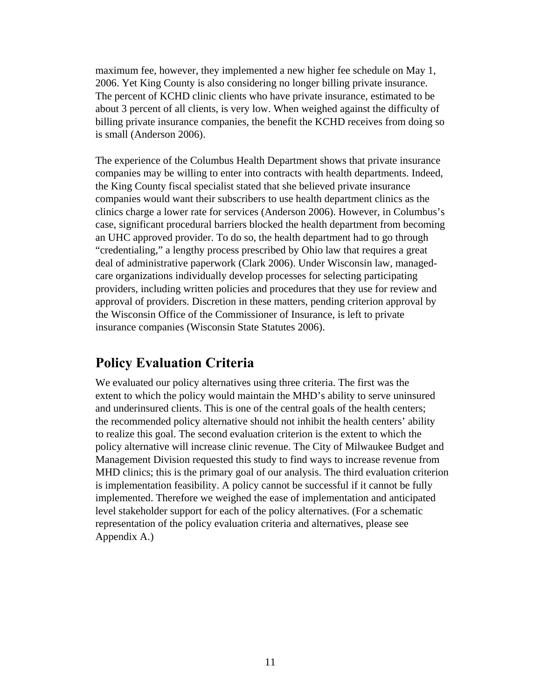maximum fee, however, they implemented a new higher fee schedule on May 1, 2006. Yet King County is also considering no longer billing private insurance. The percent of KCHD clinic clients who have private insurance, estimated to be about 3 percent of all clients, is very low. When weighed against the difficulty of billing private insurance companies, the benefit the KCHD receives from doing so is small (Anderson 2006).

The experience of the Columbus Health Department shows that private insurance companies may be willing to enter into contracts with health departments. Indeed, the King County fiscal specialist stated that she believed private insurance companies would want their subscribers to use health department clinics as the clinics charge a lower rate for services (Anderson 2006). However, in Columbus's case, significant procedural barriers blocked the health department from becoming an UHC approved provider. To do so, the health department had to go through "credentialing," a lengthy process prescribed by Ohio law that requires a great deal of administrative paperwork (Clark 2006). Under Wisconsin law, managedcare organizations individually develop processes for selecting participating providers, including written policies and procedures that they use for review and approval of providers. Discretion in these matters, pending criterion approval by the Wisconsin Office of the Commissioner of Insurance, is left to private insurance companies (Wisconsin State Statutes 2006).

### **Policy Evaluation Criteria**

We evaluated our policy alternatives using three criteria. The first was the extent to which the policy would maintain the MHD's ability to serve uninsured and underinsured clients. This is one of the central goals of the health centers; the recommended policy alternative should not inhibit the health centers' ability to realize this goal. The second evaluation criterion is the extent to which the policy alternative will increase clinic revenue. The City of Milwaukee Budget and Management Division requested this study to find ways to increase revenue from MHD clinics; this is the primary goal of our analysis. The third evaluation criterion is implementation feasibility. A policy cannot be successful if it cannot be fully implemented. Therefore we weighed the ease of implementation and anticipated level stakeholder support for each of the policy alternatives. (For a schematic representation of the policy evaluation criteria and alternatives, please see Appendix A.)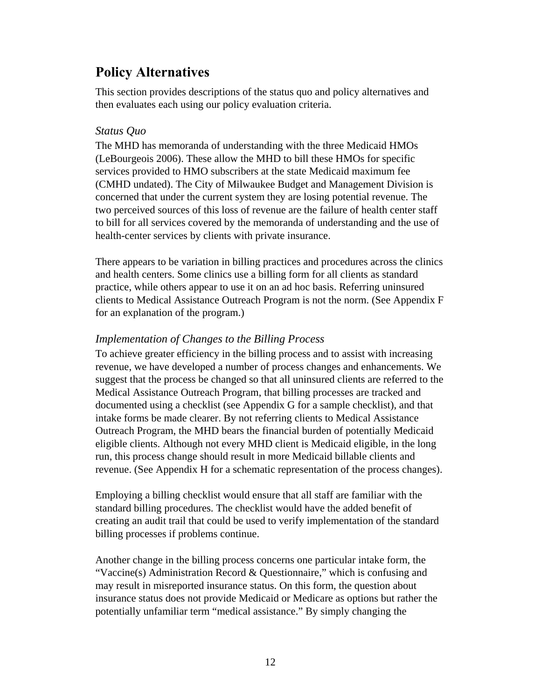### **Policy Alternatives**

This section provides descriptions of the status quo and policy alternatives and then evaluates each using our policy evaluation criteria.

#### *Status Quo*

The MHD has memoranda of understanding with the three Medicaid HMOs (LeBourgeois 2006). These allow the MHD to bill these HMOs for specific services provided to HMO subscribers at the state Medicaid maximum fee (CMHD undated). The City of Milwaukee Budget and Management Division is concerned that under the current system they are losing potential revenue. The two perceived sources of this loss of revenue are the failure of health center staff to bill for all services covered by the memoranda of understanding and the use of health-center services by clients with private insurance.

There appears to be variation in billing practices and procedures across the clinics and health centers. Some clinics use a billing form for all clients as standard practice, while others appear to use it on an ad hoc basis. Referring uninsured clients to Medical Assistance Outreach Program is not the norm. (See Appendix F for an explanation of the program.)

#### *Implementation of Changes to the Billing Process*

To achieve greater efficiency in the billing process and to assist with increasing revenue, we have developed a number of process changes and enhancements. We suggest that the process be changed so that all uninsured clients are referred to the Medical Assistance Outreach Program, that billing processes are tracked and documented using a checklist (see Appendix G for a sample checklist), and that intake forms be made clearer. By not referring clients to Medical Assistance Outreach Program, the MHD bears the financial burden of potentially Medicaid eligible clients. Although not every MHD client is Medicaid eligible, in the long run, this process change should result in more Medicaid billable clients and revenue. (See Appendix H for a schematic representation of the process changes).

Employing a billing checklist would ensure that all staff are familiar with the standard billing procedures. The checklist would have the added benefit of creating an audit trail that could be used to verify implementation of the standard billing processes if problems continue.

Another change in the billing process concerns one particular intake form, the "Vaccine(s) Administration Record  $&$  Questionnaire," which is confusing and may result in misreported insurance status. On this form, the question about insurance status does not provide Medicaid or Medicare as options but rather the potentially unfamiliar term "medical assistance." By simply changing the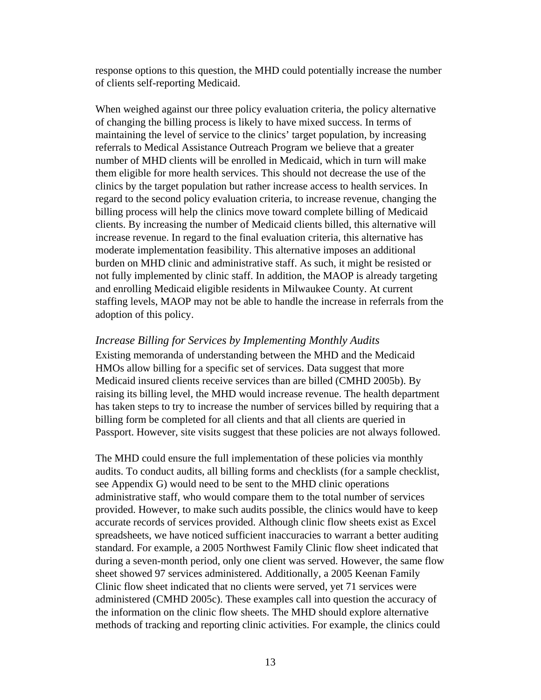response options to this question, the MHD could potentially increase the number of clients self-reporting Medicaid.

When weighed against our three policy evaluation criteria, the policy alternative of changing the billing process is likely to have mixed success. In terms of maintaining the level of service to the clinics' target population, by increasing referrals to Medical Assistance Outreach Program we believe that a greater number of MHD clients will be enrolled in Medicaid, which in turn will make them eligible for more health services. This should not decrease the use of the clinics by the target population but rather increase access to health services. In regard to the second policy evaluation criteria, to increase revenue, changing the billing process will help the clinics move toward complete billing of Medicaid clients. By increasing the number of Medicaid clients billed, this alternative will increase revenue. In regard to the final evaluation criteria, this alternative has moderate implementation feasibility. This alternative imposes an additional burden on MHD clinic and administrative staff. As such, it might be resisted or not fully implemented by clinic staff. In addition, the MAOP is already targeting and enrolling Medicaid eligible residents in Milwaukee County. At current staffing levels, MAOP may not be able to handle the increase in referrals from the adoption of this policy.

#### *Increase Billing for Services by Implementing Monthly Audits*

Existing memoranda of understanding between the MHD and the Medicaid HMOs allow billing for a specific set of services. Data suggest that more Medicaid insured clients receive services than are billed (CMHD 2005b). By raising its billing level, the MHD would increase revenue. The health department has taken steps to try to increase the number of services billed by requiring that a billing form be completed for all clients and that all clients are queried in Passport. However, site visits suggest that these policies are not always followed.

The MHD could ensure the full implementation of these policies via monthly audits. To conduct audits, all billing forms and checklists (for a sample checklist, see Appendix G) would need to be sent to the MHD clinic operations administrative staff, who would compare them to the total number of services provided. However, to make such audits possible, the clinics would have to keep accurate records of services provided. Although clinic flow sheets exist as Excel spreadsheets, we have noticed sufficient inaccuracies to warrant a better auditing standard. For example, a 2005 Northwest Family Clinic flow sheet indicated that during a seven-month period, only one client was served. However, the same flow sheet showed 97 services administered. Additionally, a 2005 Keenan Family Clinic flow sheet indicated that no clients were served, yet 71 services were administered (CMHD 2005c). These examples call into question the accuracy of the information on the clinic flow sheets. The MHD should explore alternative methods of tracking and reporting clinic activities. For example, the clinics could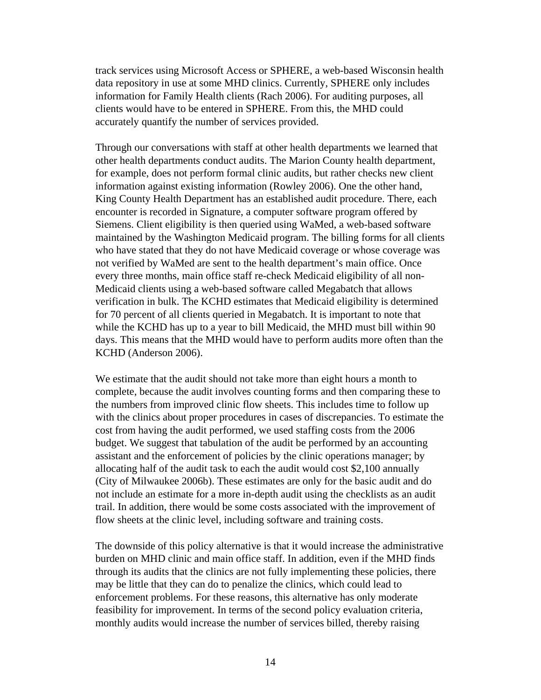track services using Microsoft Access or SPHERE, a web-based Wisconsin health data repository in use at some MHD clinics. Currently, SPHERE only includes information for Family Health clients (Rach 2006). For auditing purposes, all clients would have to be entered in SPHERE. From this, the MHD could accurately quantify the number of services provided.

Through our conversations with staff at other health departments we learned that other health departments conduct audits. The Marion County health department, for example, does not perform formal clinic audits, but rather checks new client information against existing information (Rowley 2006). One the other hand, King County Health Department has an established audit procedure. There, each encounter is recorded in Signature, a computer software program offered by Siemens. Client eligibility is then queried using WaMed, a web-based software maintained by the Washington Medicaid program. The billing forms for all clients who have stated that they do not have Medicaid coverage or whose coverage was not verified by WaMed are sent to the health department's main office. Once every three months, main office staff re-check Medicaid eligibility of all non-Medicaid clients using a web-based software called Megabatch that allows verification in bulk. The KCHD estimates that Medicaid eligibility is determined for 70 percent of all clients queried in Megabatch. It is important to note that while the KCHD has up to a year to bill Medicaid, the MHD must bill within 90 days. This means that the MHD would have to perform audits more often than the KCHD (Anderson 2006).

We estimate that the audit should not take more than eight hours a month to complete, because the audit involves counting forms and then comparing these to the numbers from improved clinic flow sheets. This includes time to follow up with the clinics about proper procedures in cases of discrepancies. To estimate the cost from having the audit performed, we used staffing costs from the 2006 budget. We suggest that tabulation of the audit be performed by an accounting assistant and the enforcement of policies by the clinic operations manager; by allocating half of the audit task to each the audit would cost \$2,100 annually (City of Milwaukee 2006b). These estimates are only for the basic audit and do not include an estimate for a more in-depth audit using the checklists as an audit trail. In addition, there would be some costs associated with the improvement of flow sheets at the clinic level, including software and training costs.

The downside of this policy alternative is that it would increase the administrative burden on MHD clinic and main office staff. In addition, even if the MHD finds through its audits that the clinics are not fully implementing these policies, there may be little that they can do to penalize the clinics, which could lead to enforcement problems. For these reasons, this alternative has only moderate feasibility for improvement. In terms of the second policy evaluation criteria, monthly audits would increase the number of services billed, thereby raising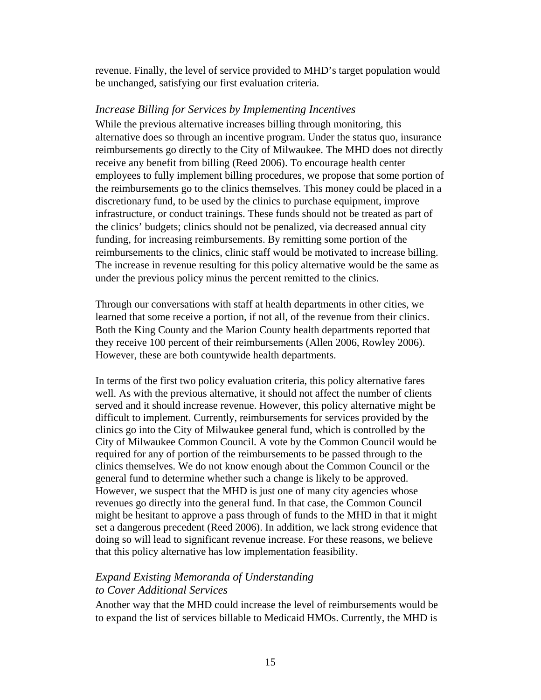revenue. Finally, the level of service provided to MHD's target population would be unchanged, satisfying our first evaluation criteria.

#### *Increase Billing for Services by Implementing Incentives*

While the previous alternative increases billing through monitoring, this alternative does so through an incentive program. Under the status quo, insurance reimbursements go directly to the City of Milwaukee. The MHD does not directly receive any benefit from billing (Reed 2006). To encourage health center employees to fully implement billing procedures, we propose that some portion of the reimbursements go to the clinics themselves. This money could be placed in a discretionary fund, to be used by the clinics to purchase equipment, improve infrastructure, or conduct trainings. These funds should not be treated as part of the clinics' budgets; clinics should not be penalized, via decreased annual city funding, for increasing reimbursements. By remitting some portion of the reimbursements to the clinics, clinic staff would be motivated to increase billing. The increase in revenue resulting for this policy alternative would be the same as under the previous policy minus the percent remitted to the clinics.

Through our conversations with staff at health departments in other cities, we learned that some receive a portion, if not all, of the revenue from their clinics. Both the King County and the Marion County health departments reported that they receive 100 percent of their reimbursements (Allen 2006, Rowley 2006). However, these are both countywide health departments.

In terms of the first two policy evaluation criteria, this policy alternative fares well. As with the previous alternative, it should not affect the number of clients served and it should increase revenue. However, this policy alternative might be difficult to implement. Currently, reimbursements for services provided by the clinics go into the City of Milwaukee general fund, which is controlled by the City of Milwaukee Common Council. A vote by the Common Council would be required for any of portion of the reimbursements to be passed through to the clinics themselves. We do not know enough about the Common Council or the general fund to determine whether such a change is likely to be approved. However, we suspect that the MHD is just one of many city agencies whose revenues go directly into the general fund. In that case, the Common Council might be hesitant to approve a pass through of funds to the MHD in that it might set a dangerous precedent (Reed 2006). In addition, we lack strong evidence that doing so will lead to significant revenue increase. For these reasons, we believe that this policy alternative has low implementation feasibility.

#### *Expand Existing Memoranda of Understanding to Cover Additional Services*

Another way that the MHD could increase the level of reimbursements would be to expand the list of services billable to Medicaid HMOs. Currently, the MHD is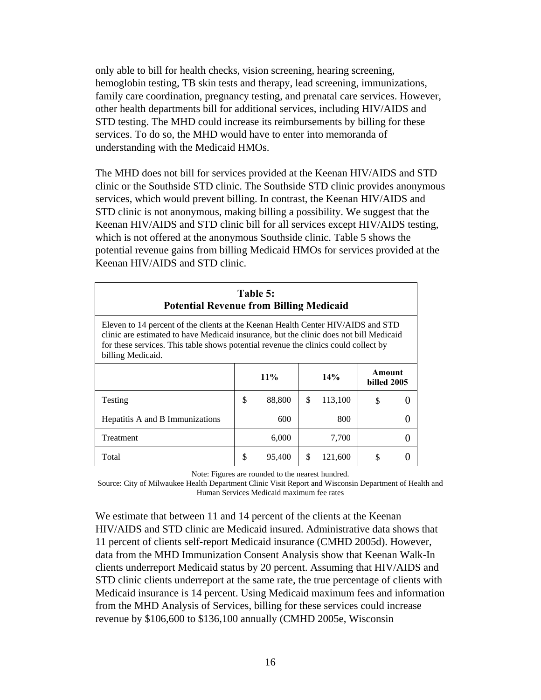only able to bill for health checks, vision screening, hearing screening, hemoglobin testing, TB skin tests and therapy, lead screening, immunizations, family care coordination, pregnancy testing, and prenatal care services. However, other health departments bill for additional services, including HIV/AIDS and STD testing. The MHD could increase its reimbursements by billing for these services. To do so, the MHD would have to enter into memoranda of understanding with the Medicaid HMOs.

The MHD does not bill for services provided at the Keenan HIV/AIDS and STD clinic or the Southside STD clinic. The Southside STD clinic provides anonymous services, which would prevent billing. In contrast, the Keenan HIV/AIDS and STD clinic is not anonymous, making billing a possibility. We suggest that the Keenan HIV/AIDS and STD clinic bill for all services except HIV/AIDS testing, which is not offered at the anonymous Southside clinic. Table 5 shows the potential revenue gains from billing Medicaid HMOs for services provided at the Keenan HIV/AIDS and STD clinic.

| Table 5:<br><b>Potential Revenue from Billing Medicaid</b>                                                                                                                                                                                                                             |    |        |    |         |                       |  |  |  |
|----------------------------------------------------------------------------------------------------------------------------------------------------------------------------------------------------------------------------------------------------------------------------------------|----|--------|----|---------|-----------------------|--|--|--|
| Eleven to 14 percent of the clients at the Keenan Health Center HIV/AIDS and STD<br>clinic are estimated to have Medicaid insurance, but the clinic does not bill Medicaid<br>for these services. This table shows potential revenue the clinics could collect by<br>billing Medicaid. |    |        |    |         |                       |  |  |  |
|                                                                                                                                                                                                                                                                                        |    | $11\%$ |    | 14%     | Amount<br>billed 2005 |  |  |  |
| Testing                                                                                                                                                                                                                                                                                | \$ | 88,800 | \$ | 113,100 | \$                    |  |  |  |
| Hepatitis A and B Immunizations                                                                                                                                                                                                                                                        |    | 600    |    | 800     |                       |  |  |  |
| Treatment                                                                                                                                                                                                                                                                              |    | 6,000  |    | 7,700   |                       |  |  |  |
| Total                                                                                                                                                                                                                                                                                  | \$ | 95,400 | \$ | 121,600 | \$                    |  |  |  |

Note: Figures are rounded to the nearest hundred.

Source: City of Milwaukee Health Department Clinic Visit Report and Wisconsin Department of Health and Human Services Medicaid maximum fee rates

We estimate that between 11 and 14 percent of the clients at the Keenan HIV/AIDS and STD clinic are Medicaid insured. Administrative data shows that 11 percent of clients self-report Medicaid insurance (CMHD 2005d). However, data from the MHD Immunization Consent Analysis show that Keenan Walk-In clients underreport Medicaid status by 20 percent. Assuming that HIV/AIDS and STD clinic clients underreport at the same rate, the true percentage of clients with Medicaid insurance is 14 percent. Using Medicaid maximum fees and information from the MHD Analysis of Services, billing for these services could increase revenue by \$106,600 to \$136,100 annually (CMHD 2005e, Wisconsin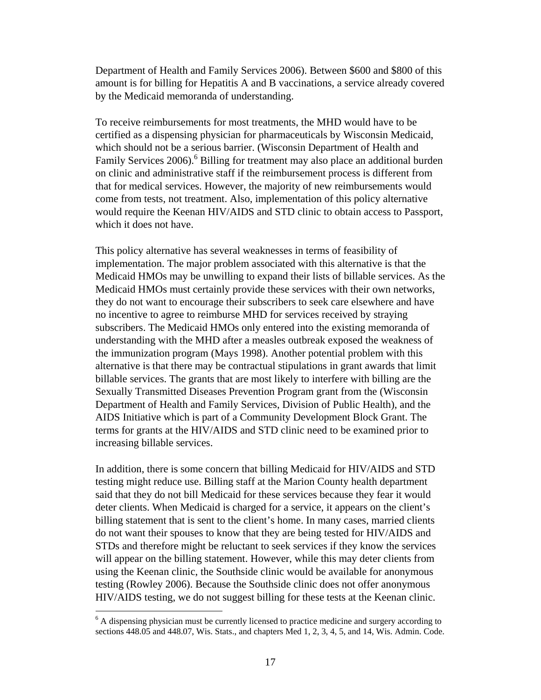Department of Health and Family Services 2006). Between \$600 and \$800 of this amount is for billing for Hepatitis A and B vaccinations, a service already covered by the Medicaid memoranda of understanding.

To receive reimbursements for most treatments, the MHD would have to be certified as a dispensing physician for pharmaceuticals by Wisconsin Medicaid, which should not be a serious barrier. (Wisconsin Department of Health and Family Services 2006).<sup>6</sup> Billing for treatment may also place an additional burden on clinic and administrative staff if the reimbursement process is different from that for medical services. However, the majority of new reimbursements would come from tests, not treatment. Also, implementation of this policy alternative would require the Keenan HIV/AIDS and STD clinic to obtain access to Passport, which it does not have.

This policy alternative has several weaknesses in terms of feasibility of implementation. The major problem associated with this alternative is that the Medicaid HMOs may be unwilling to expand their lists of billable services. As the Medicaid HMOs must certainly provide these services with their own networks, they do not want to encourage their subscribers to seek care elsewhere and have no incentive to agree to reimburse MHD for services received by straying subscribers. The Medicaid HMOs only entered into the existing memoranda of understanding with the MHD after a measles outbreak exposed the weakness of the immunization program (Mays 1998). Another potential problem with this alternative is that there may be contractual stipulations in grant awards that limit billable services. The grants that are most likely to interfere with billing are the Sexually Transmitted Diseases Prevention Program grant from the (Wisconsin Department of Health and Family Services, Division of Public Health), and the AIDS Initiative which is part of a Community Development Block Grant. The terms for grants at the HIV/AIDS and STD clinic need to be examined prior to increasing billable services.

In addition, there is some concern that billing Medicaid for HIV/AIDS and STD testing might reduce use. Billing staff at the Marion County health department said that they do not bill Medicaid for these services because they fear it would deter clients. When Medicaid is charged for a service, it appears on the client's billing statement that is sent to the client's home. In many cases, married clients do not want their spouses to know that they are being tested for HIV/AIDS and STDs and therefore might be reluctant to seek services if they know the services will appear on the billing statement. However, while this may deter clients from using the Keenan clinic, the Southside clinic would be available for anonymous testing (Rowley 2006). Because the Southside clinic does not offer anonymous HIV/AIDS testing, we do not suggest billing for these tests at the Keenan clinic.

<sup>&</sup>lt;sup>6</sup> A dispensing physician must be currently licensed to practice medicine and surgery according to sections 448.05 and 448.07, Wis. Stats., and chapters Med 1, 2, 3, 4, 5, and 14, Wis. Admin. Code.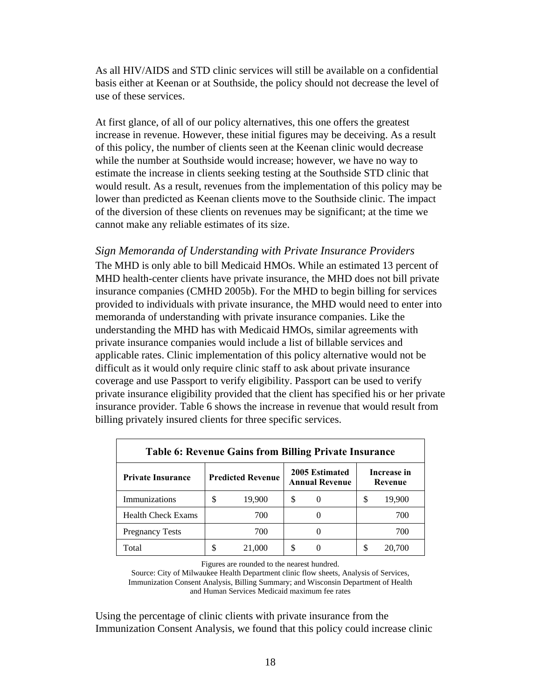As all HIV/AIDS and STD clinic services will still be available on a confidential basis either at Keenan or at Southside, the policy should not decrease the level of use of these services.

At first glance, of all of our policy alternatives, this one offers the greatest increase in revenue. However, these initial figures may be deceiving. As a result of this policy, the number of clients seen at the Keenan clinic would decrease while the number at Southside would increase; however, we have no way to estimate the increase in clients seeking testing at the Southside STD clinic that would result. As a result, revenues from the implementation of this policy may be lower than predicted as Keenan clients move to the Southside clinic. The impact of the diversion of these clients on revenues may be significant; at the time we cannot make any reliable estimates of its size.

#### *Sign Memoranda of Understanding with Private Insurance Providers*

The MHD is only able to bill Medicaid HMOs. While an estimated 13 percent of MHD health-center clients have private insurance, the MHD does not bill private insurance companies (CMHD 2005b). For the MHD to begin billing for services provided to individuals with private insurance, the MHD would need to enter into memoranda of understanding with private insurance companies. Like the understanding the MHD has with Medicaid HMOs, similar agreements with private insurance companies would include a list of billable services and applicable rates. Clinic implementation of this policy alternative would not be difficult as it would only require clinic staff to ask about private insurance coverage and use Passport to verify eligibility. Passport can be used to verify private insurance eligibility provided that the client has specified his or her private insurance provider. Table 6 shows the increase in revenue that would result from billing privately insured clients for three specific services.

| <b>Table 6: Revenue Gains from Billing Private Insurance</b> |                          |        |                                                |          |    |                        |  |  |
|--------------------------------------------------------------|--------------------------|--------|------------------------------------------------|----------|----|------------------------|--|--|
| <b>Private Insurance</b>                                     | <b>Predicted Revenue</b> |        | <b>2005 Estimated</b><br><b>Annual Revenue</b> |          |    | Increase in<br>Revenue |  |  |
| Immunizations                                                | S                        | 19,900 | \$                                             | $\theta$ | \$ | 19,900                 |  |  |
| <b>Health Check Exams</b>                                    |                          | 700    |                                                |          |    | 700                    |  |  |
| <b>Pregnancy Tests</b>                                       |                          | 700    |                                                |          |    | 700                    |  |  |
| Total                                                        |                          | 21,000 | S                                              |          | S  | 20,700                 |  |  |

Figures are rounded to the nearest hundred.

Source: City of Milwaukee Health Department clinic flow sheets, Analysis of Services, Immunization Consent Analysis, Billing Summary; and Wisconsin Department of Health and Human Services Medicaid maximum fee rates

Using the percentage of clinic clients with private insurance from the Immunization Consent Analysis, we found that this policy could increase clinic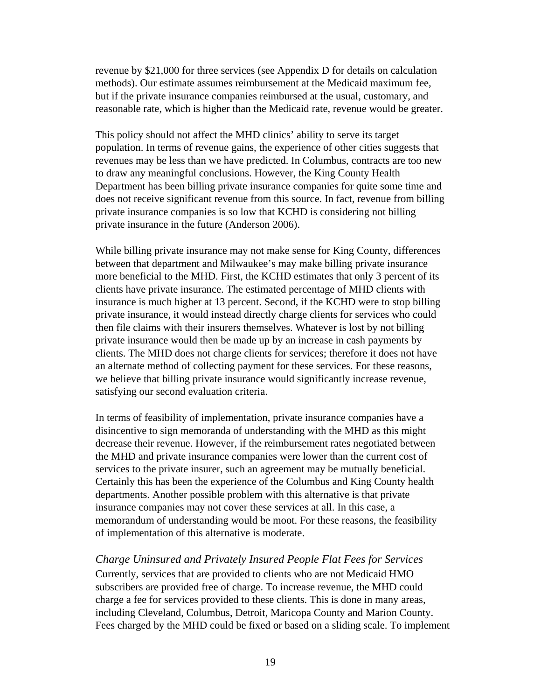revenue by \$21,000 for three services (see Appendix D for details on calculation methods). Our estimate assumes reimbursement at the Medicaid maximum fee, but if the private insurance companies reimbursed at the usual, customary, and reasonable rate, which is higher than the Medicaid rate, revenue would be greater.

This policy should not affect the MHD clinics' ability to serve its target population. In terms of revenue gains, the experience of other cities suggests that revenues may be less than we have predicted. In Columbus, contracts are too new to draw any meaningful conclusions. However, the King County Health Department has been billing private insurance companies for quite some time and does not receive significant revenue from this source. In fact, revenue from billing private insurance companies is so low that KCHD is considering not billing private insurance in the future (Anderson 2006).

While billing private insurance may not make sense for King County, differences between that department and Milwaukee's may make billing private insurance more beneficial to the MHD. First, the KCHD estimates that only 3 percent of its clients have private insurance. The estimated percentage of MHD clients with insurance is much higher at 13 percent. Second, if the KCHD were to stop billing private insurance, it would instead directly charge clients for services who could then file claims with their insurers themselves. Whatever is lost by not billing private insurance would then be made up by an increase in cash payments by clients. The MHD does not charge clients for services; therefore it does not have an alternate method of collecting payment for these services. For these reasons, we believe that billing private insurance would significantly increase revenue, satisfying our second evaluation criteria.

In terms of feasibility of implementation, private insurance companies have a disincentive to sign memoranda of understanding with the MHD as this might decrease their revenue. However, if the reimbursement rates negotiated between the MHD and private insurance companies were lower than the current cost of services to the private insurer, such an agreement may be mutually beneficial. Certainly this has been the experience of the Columbus and King County health departments. Another possible problem with this alternative is that private insurance companies may not cover these services at all. In this case, a memorandum of understanding would be moot. For these reasons, the feasibility of implementation of this alternative is moderate.

*Charge Uninsured and Privately Insured People Flat Fees for Services*  Currently, services that are provided to clients who are not Medicaid HMO subscribers are provided free of charge. To increase revenue, the MHD could charge a fee for services provided to these clients. This is done in many areas, including Cleveland, Columbus, Detroit, Maricopa County and Marion County. Fees charged by the MHD could be fixed or based on a sliding scale. To implement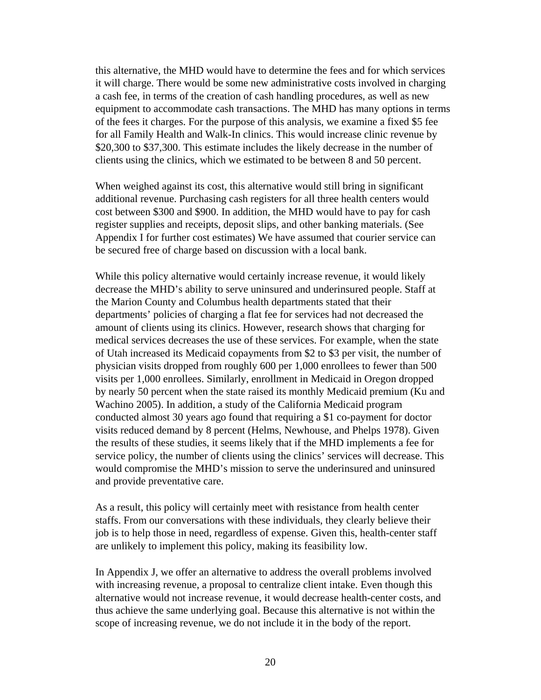this alternative, the MHD would have to determine the fees and for which services it will charge. There would be some new administrative costs involved in charging a cash fee, in terms of the creation of cash handling procedures, as well as new equipment to accommodate cash transactions. The MHD has many options in terms of the fees it charges. For the purpose of this analysis, we examine a fixed \$5 fee for all Family Health and Walk-In clinics. This would increase clinic revenue by \$20,300 to \$37,300. This estimate includes the likely decrease in the number of clients using the clinics, which we estimated to be between 8 and 50 percent.

When weighed against its cost, this alternative would still bring in significant additional revenue. Purchasing cash registers for all three health centers would cost between \$300 and \$900. In addition, the MHD would have to pay for cash register supplies and receipts, deposit slips, and other banking materials. (See Appendix I for further cost estimates) We have assumed that courier service can be secured free of charge based on discussion with a local bank.

While this policy alternative would certainly increase revenue, it would likely decrease the MHD's ability to serve uninsured and underinsured people. Staff at the Marion County and Columbus health departments stated that their departments' policies of charging a flat fee for services had not decreased the amount of clients using its clinics. However, research shows that charging for medical services decreases the use of these services. For example, when the state of Utah increased its Medicaid copayments from \$2 to \$3 per visit, the number of physician visits dropped from roughly 600 per 1,000 enrollees to fewer than 500 visits per 1,000 enrollees. Similarly, enrollment in Medicaid in Oregon dropped by nearly 50 percent when the state raised its monthly Medicaid premium (Ku and Wachino 2005). In addition, a study of the California Medicaid program conducted almost 30 years ago found that requiring a \$1 co-payment for doctor visits reduced demand by 8 percent (Helms, Newhouse, and Phelps 1978). Given the results of these studies, it seems likely that if the MHD implements a fee for service policy, the number of clients using the clinics' services will decrease. This would compromise the MHD's mission to serve the underinsured and uninsured and provide preventative care.

As a result, this policy will certainly meet with resistance from health center staffs. From our conversations with these individuals, they clearly believe their job is to help those in need, regardless of expense. Given this, health-center staff are unlikely to implement this policy, making its feasibility low.

In Appendix J, we offer an alternative to address the overall problems involved with increasing revenue, a proposal to centralize client intake. Even though this alternative would not increase revenue, it would decrease health-center costs, and thus achieve the same underlying goal. Because this alternative is not within the scope of increasing revenue, we do not include it in the body of the report.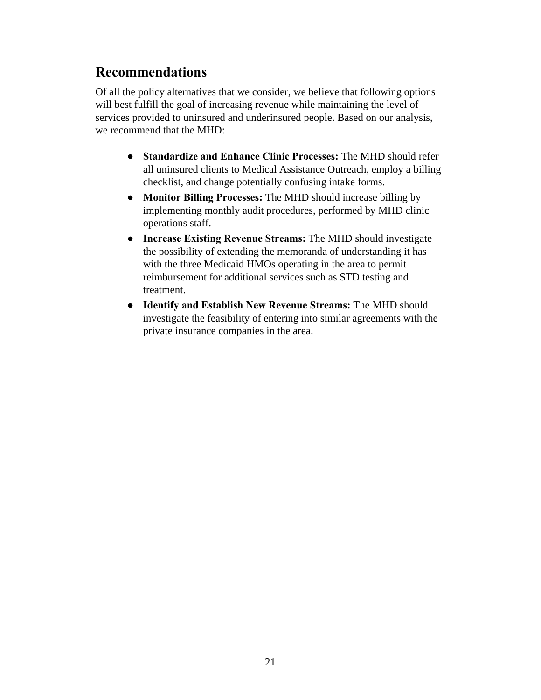### **Recommendations**

Of all the policy alternatives that we consider, we believe that following options will best fulfill the goal of increasing revenue while maintaining the level of services provided to uninsured and underinsured people. Based on our analysis, we recommend that the MHD:

- **● Standardize and Enhance Clinic Processes:** The MHD should refer all uninsured clients to Medical Assistance Outreach, employ a billing checklist, and change potentially confusing intake forms.
- **● Monitor Billing Processes:** The MHD should increase billing by implementing monthly audit procedures, performed by MHD clinic operations staff.
- **● Increase Existing Revenue Streams:** The MHD should investigate the possibility of extending the memoranda of understanding it has with the three Medicaid HMOs operating in the area to permit reimbursement for additional services such as STD testing and treatment.
- **● Identify and Establish New Revenue Streams:** The MHD should investigate the feasibility of entering into similar agreements with the private insurance companies in the area.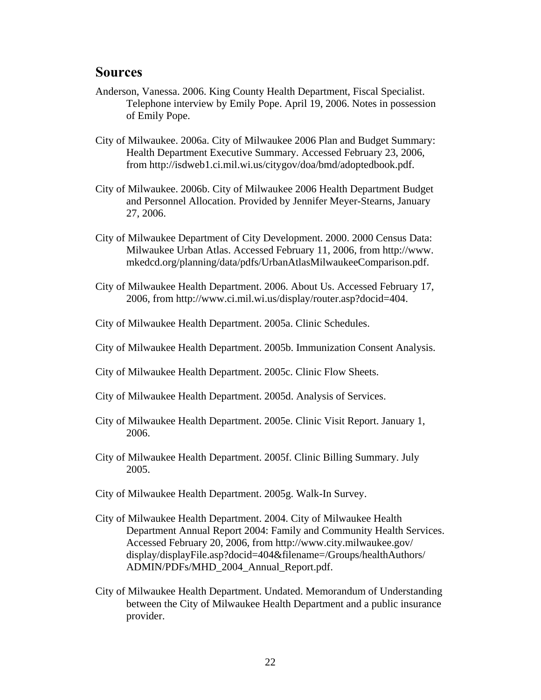#### **Sources**

- Anderson, Vanessa. 2006. King County Health Department, Fiscal Specialist. Telephone interview by Emily Pope. April 19, 2006. Notes in possession of Emily Pope.
- City of Milwaukee. 2006a. City of Milwaukee 2006 Plan and Budget Summary: Health Department Executive Summary. Accessed February 23, 2006, from http://isdweb1.ci.mil.wi.us/citygov/doa/bmd/adoptedbook.pdf.
- City of Milwaukee. 2006b. City of Milwaukee 2006 Health Department Budget and Personnel Allocation. Provided by Jennifer Meyer-Stearns, January 27, 2006.
- City of Milwaukee Department of City Development. 2000. 2000 Census Data: Milwaukee Urban Atlas. Accessed February 11, 2006, from http://www. mkedcd.org/planning/data/pdfs/UrbanAtlasMilwaukeeComparison.pdf.
- City of Milwaukee Health Department. 2006. About Us. Accessed February 17, 2006, from http://www.ci.mil.wi.us/display/router.asp?docid=404.
- City of Milwaukee Health Department. 2005a. Clinic Schedules.
- City of Milwaukee Health Department. 2005b. Immunization Consent Analysis.
- City of Milwaukee Health Department. 2005c. Clinic Flow Sheets.
- City of Milwaukee Health Department. 2005d. Analysis of Services.
- City of Milwaukee Health Department. 2005e. Clinic Visit Report. January 1, 2006.
- City of Milwaukee Health Department. 2005f. Clinic Billing Summary. July 2005.
- City of Milwaukee Health Department. 2005g. Walk-In Survey.
- City of Milwaukee Health Department. 2004. City of Milwaukee Health Department Annual Report 2004: Family and Community Health Services. Accessed February 20, 2006, from http://www.city.milwaukee.gov/ display/displayFile.asp?docid=404&filename=/Groups/healthAuthors/ ADMIN/PDFs/MHD\_2004\_Annual\_Report.pdf.
- City of Milwaukee Health Department. Undated. Memorandum of Understanding between the City of Milwaukee Health Department and a public insurance provider.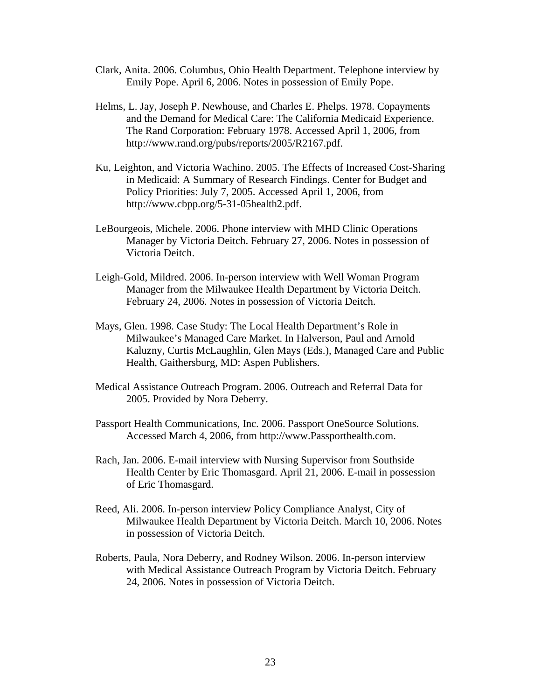- Clark, Anita. 2006. Columbus, Ohio Health Department. Telephone interview by Emily Pope. April 6, 2006. Notes in possession of Emily Pope.
- Helms, L. Jay, Joseph P. Newhouse, and Charles E. Phelps. 1978. Copayments and the Demand for Medical Care: The California Medicaid Experience. The Rand Corporation: February 1978. Accessed April 1, 2006, from http://www.rand.org/pubs/reports/2005/R2167.pdf.
- Ku, Leighton, and Victoria Wachino. 2005. The Effects of Increased Cost-Sharing in Medicaid: A Summary of Research Findings. Center for Budget and Policy Priorities: July 7, 2005. Accessed April 1, 2006, from http://www.cbpp.org/5-31-05health2.pdf.
- LeBourgeois, Michele. 2006. Phone interview with MHD Clinic Operations Manager by Victoria Deitch. February 27, 2006. Notes in possession of Victoria Deitch.
- Leigh-Gold, Mildred. 2006. In-person interview with Well Woman Program Manager from the Milwaukee Health Department by Victoria Deitch. February 24, 2006. Notes in possession of Victoria Deitch.
- Mays, Glen. 1998. Case Study: The Local Health Department's Role in Milwaukee's Managed Care Market. In Halverson, Paul and Arnold Kaluzny, Curtis McLaughlin, Glen Mays (Eds.), Managed Care and Public Health, Gaithersburg, MD: Aspen Publishers.
- Medical Assistance Outreach Program. 2006. Outreach and Referral Data for 2005. Provided by Nora Deberry.
- Passport Health Communications, Inc. 2006. Passport OneSource Solutions. Accessed March 4, 2006, from http://www.Passporthealth.com.
- Rach, Jan. 2006. E-mail interview with Nursing Supervisor from Southside Health Center by Eric Thomasgard. April 21, 2006. E-mail in possession of Eric Thomasgard.
- Reed, Ali. 2006. In-person interview Policy Compliance Analyst, City of Milwaukee Health Department by Victoria Deitch. March 10, 2006. Notes in possession of Victoria Deitch.
- Roberts, Paula, Nora Deberry, and Rodney Wilson. 2006. In-person interview with Medical Assistance Outreach Program by Victoria Deitch. February 24, 2006. Notes in possession of Victoria Deitch.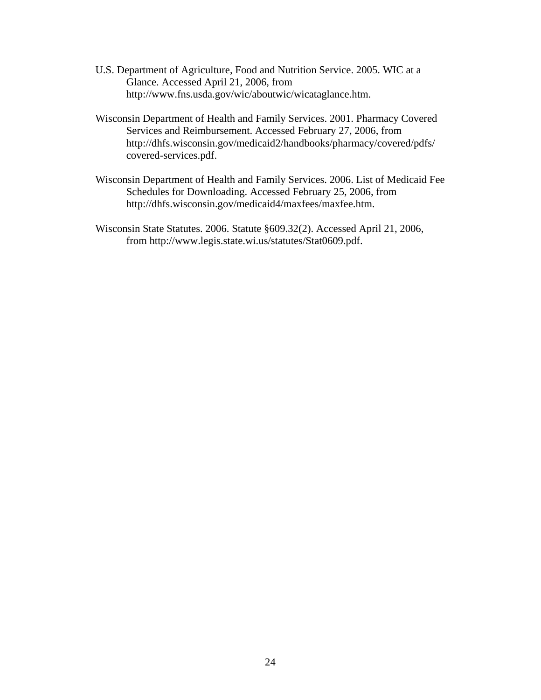- U.S. Department of Agriculture, Food and Nutrition Service. 2005. WIC at a Glance. Accessed April 21, 2006, from http://www.fns.usda.gov/wic/aboutwic/wicataglance.htm.
- Wisconsin Department of Health and Family Services. 2001. Pharmacy Covered Services and Reimbursement. Accessed February 27, 2006, from http://dhfs.wisconsin.gov/medicaid2/handbooks/pharmacy/covered/pdfs/ covered-services.pdf.
- Wisconsin Department of Health and Family Services. 2006. List of Medicaid Fee Schedules for Downloading. Accessed February 25, 2006, from http://dhfs.wisconsin.gov/medicaid4/maxfees/maxfee.htm.
- Wisconsin State Statutes. 2006. Statute §609.32(2). Accessed April 21, 2006, from http://www.legis.state.wi.us/statutes/Stat0609.pdf.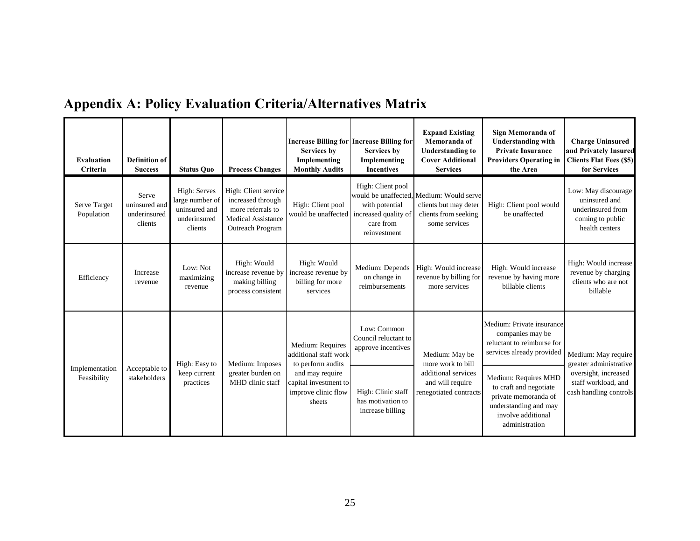|  |  |  |  |  |  | <b>Appendix A: Policy Evaluation Criteria/Alternatives Matrix</b> |  |
|--|--|--|--|--|--|-------------------------------------------------------------------|--|
|--|--|--|--|--|--|-------------------------------------------------------------------|--|

| <b>Evaluation</b><br>Criteria | Definition of<br><b>Success</b>                   | <b>Status Quo</b>                                                           | <b>Process Changes</b>                                                                                          | <b>Services by</b><br>Implementing<br><b>Monthly Audits</b>               | <b>Increase Billing for Increase Billing for</b><br><b>Services by</b><br>Implementing<br><b>Incentives</b> | <b>Expand Existing</b><br>Memoranda of<br><b>Understanding to</b><br><b>Cover Additional</b><br><b>Services</b> | Sign Memoranda of<br><b>Understanding with</b><br><b>Private Insurance</b><br><b>Providers Operating in</b><br>the Area                 | <b>Charge Uninsured</b><br>and Privately Insured<br><b>Clients Flat Fees (\$5)</b><br>for Services |  |
|-------------------------------|---------------------------------------------------|-----------------------------------------------------------------------------|-----------------------------------------------------------------------------------------------------------------|---------------------------------------------------------------------------|-------------------------------------------------------------------------------------------------------------|-----------------------------------------------------------------------------------------------------------------|-----------------------------------------------------------------------------------------------------------------------------------------|----------------------------------------------------------------------------------------------------|--|
| Serve Target<br>Population    | Serve<br>uninsured and<br>underinsured<br>clients | High: Serves<br>large number of<br>uninsured and<br>underinsured<br>clients | High: Client service<br>increased through<br>more referrals to<br><b>Medical Assistance</b><br>Outreach Program | High: Client pool<br>would be unaffected increased quality of             | High: Client pool<br>with potential<br>care from<br>reinvestment                                            | would be unaffected. Medium: Would serve<br>clients but may deter<br>clients from seeking<br>some services      | High: Client pool would<br>be unaffected                                                                                                | Low: May discourage<br>uninsured and<br>underinsured from<br>coming to public<br>health centers    |  |
| Efficiency                    | Increase<br>revenue                               | Low: Not<br>maximizing<br>revenue                                           | High: Would<br>increase revenue by<br>making billing<br>process consistent                                      | High: Would<br>increase revenue by<br>billing for more<br>services        | Medium: Depends<br>on change in<br>reimbursements                                                           | High: Would increase<br>revenue by billing for<br>more services                                                 | High: Would increase<br>revenue by having more<br>billable clients                                                                      | High: Would increase<br>revenue by charging<br>clients who are not<br>billable                     |  |
|                               |                                                   | High: Easy to                                                               | Medium: Imposes                                                                                                 | Medium: Requires<br>additional staff work<br>to perform audits            | Low: Common<br>Council reluctant to<br>approve incentives                                                   | Medium: May be<br>more work to bill                                                                             | Medium: Private insurance<br>companies may be<br>reluctant to reimburse for<br>services already provided                                | Medium: May require<br>greater administrative                                                      |  |
| Implementation<br>Feasibility | Acceptable to<br>stakeholders                     | keep current<br>greater burden on<br>practices<br>MHD clinic staff          |                                                                                                                 | and may require<br>capital investment to<br>improve clinic flow<br>sheets | High: Clinic staff<br>has motivation to<br>increase billing                                                 | additional services<br>and will require<br>renegotiated contracts                                               | Medium: Requires MHD<br>to craft and negotiate<br>private memoranda of<br>understanding and may<br>involve additional<br>administration | oversight, increased<br>staff workload, and<br>cash handling controls                              |  |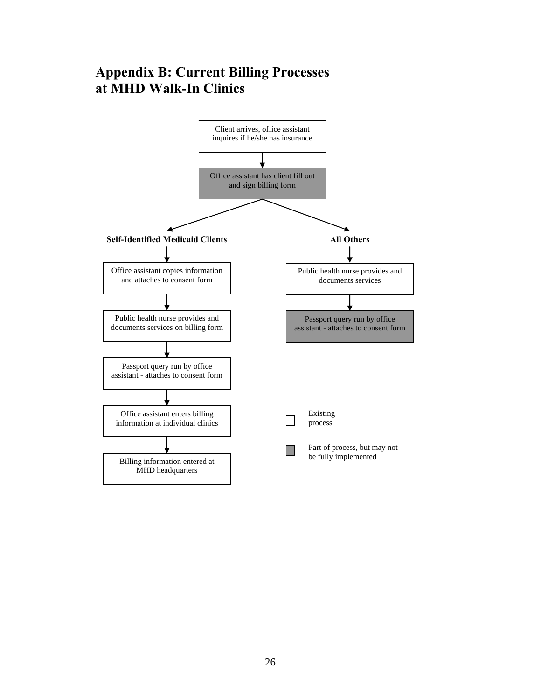### **Appendix B: Current Billing Processes at MHD Walk-In Clinics**

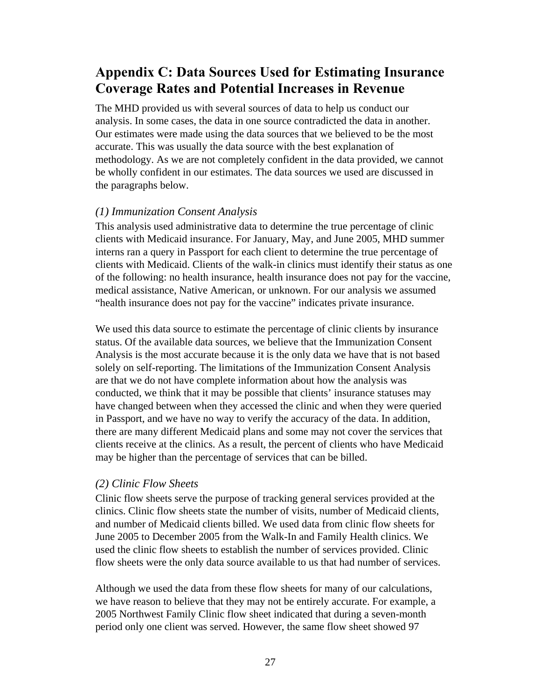### **Appendix C: Data Sources Used for Estimating Insurance Coverage Rates and Potential Increases in Revenue**

The MHD provided us with several sources of data to help us conduct our analysis. In some cases, the data in one source contradicted the data in another. Our estimates were made using the data sources that we believed to be the most accurate. This was usually the data source with the best explanation of methodology. As we are not completely confident in the data provided, we cannot be wholly confident in our estimates. The data sources we used are discussed in the paragraphs below.

#### *(1) Immunization Consent Analysis*

This analysis used administrative data to determine the true percentage of clinic clients with Medicaid insurance. For January, May, and June 2005, MHD summer interns ran a query in Passport for each client to determine the true percentage of clients with Medicaid. Clients of the walk-in clinics must identify their status as one of the following: no health insurance, health insurance does not pay for the vaccine, medical assistance, Native American, or unknown. For our analysis we assumed "health insurance does not pay for the vaccine" indicates private insurance.

We used this data source to estimate the percentage of clinic clients by insurance status. Of the available data sources, we believe that the Immunization Consent Analysis is the most accurate because it is the only data we have that is not based solely on self-reporting. The limitations of the Immunization Consent Analysis are that we do not have complete information about how the analysis was conducted, we think that it may be possible that clients' insurance statuses may have changed between when they accessed the clinic and when they were queried in Passport, and we have no way to verify the accuracy of the data. In addition, there are many different Medicaid plans and some may not cover the services that clients receive at the clinics. As a result, the percent of clients who have Medicaid may be higher than the percentage of services that can be billed.

#### *(2) Clinic Flow Sheets*

Clinic flow sheets serve the purpose of tracking general services provided at the clinics. Clinic flow sheets state the number of visits, number of Medicaid clients, and number of Medicaid clients billed. We used data from clinic flow sheets for June 2005 to December 2005 from the Walk-In and Family Health clinics. We used the clinic flow sheets to establish the number of services provided. Clinic flow sheets were the only data source available to us that had number of services.

Although we used the data from these flow sheets for many of our calculations, we have reason to believe that they may not be entirely accurate. For example, a 2005 Northwest Family Clinic flow sheet indicated that during a seven-month period only one client was served. However, the same flow sheet showed 97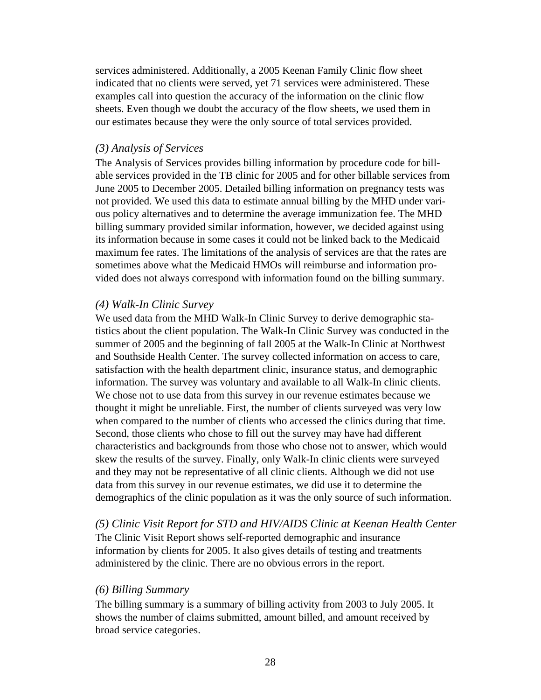services administered. Additionally, a 2005 Keenan Family Clinic flow sheet indicated that no clients were served, yet 71 services were administered. These examples call into question the accuracy of the information on the clinic flow sheets. Even though we doubt the accuracy of the flow sheets, we used them in our estimates because they were the only source of total services provided.

#### *(3) Analysis of Services*

The Analysis of Services provides billing information by procedure code for billable services provided in the TB clinic for 2005 and for other billable services from June 2005 to December 2005. Detailed billing information on pregnancy tests was not provided. We used this data to estimate annual billing by the MHD under various policy alternatives and to determine the average immunization fee. The MHD billing summary provided similar information, however, we decided against using its information because in some cases it could not be linked back to the Medicaid maximum fee rates. The limitations of the analysis of services are that the rates are sometimes above what the Medicaid HMOs will reimburse and information provided does not always correspond with information found on the billing summary.

#### *(4) Walk-In Clinic Survey*

We used data from the MHD Walk-In Clinic Survey to derive demographic statistics about the client population. The Walk-In Clinic Survey was conducted in the summer of 2005 and the beginning of fall 2005 at the Walk-In Clinic at Northwest and Southside Health Center. The survey collected information on access to care, satisfaction with the health department clinic, insurance status, and demographic information. The survey was voluntary and available to all Walk-In clinic clients. We chose not to use data from this survey in our revenue estimates because we thought it might be unreliable. First, the number of clients surveyed was very low when compared to the number of clients who accessed the clinics during that time. Second, those clients who chose to fill out the survey may have had different characteristics and backgrounds from those who chose not to answer, which would skew the results of the survey. Finally, only Walk-In clinic clients were surveyed and they may not be representative of all clinic clients. Although we did not use data from this survey in our revenue estimates, we did use it to determine the demographics of the clinic population as it was the only source of such information.

*(5) Clinic Visit Report for STD and HIV/AIDS Clinic at Keenan Health Center*  The Clinic Visit Report shows self-reported demographic and insurance information by clients for 2005. It also gives details of testing and treatments administered by the clinic. There are no obvious errors in the report.

#### *(6) Billing Summary*

The billing summary is a summary of billing activity from 2003 to July 2005. It shows the number of claims submitted, amount billed, and amount received by broad service categories.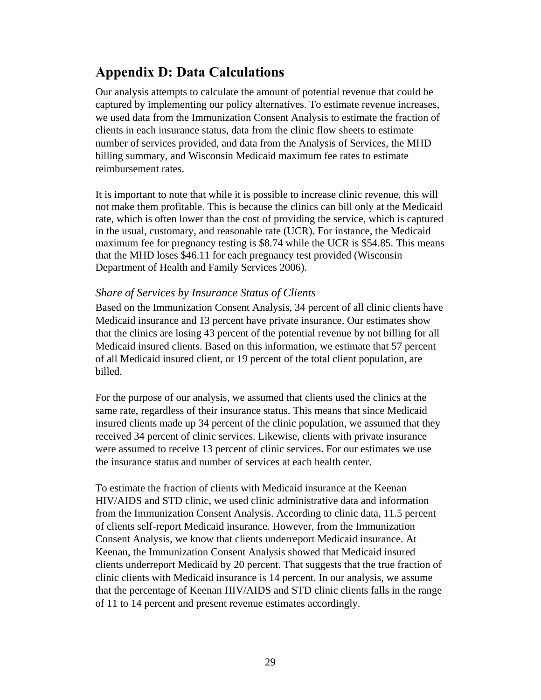### **Appendix D: Data Calculations**

Our analysis attempts to calculate the amount of potential revenue that could be captured by implementing our policy alternatives. To estimate revenue increases, we used data from the Immunization Consent Analysis to estimate the fraction of clients in each insurance status, data from the clinic flow sheets to estimate number of services provided, and data from the Analysis of Services, the MHD billing summary, and Wisconsin Medicaid maximum fee rates to estimate reimbursement rates.

It is important to note that while it is possible to increase clinic revenue, this will not make them profitable. This is because the clinics can bill only at the Medicaid rate, which is often lower than the cost of providing the service, which is captured in the usual, customary, and reasonable rate (UCR). For instance, the Medicaid maximum fee for pregnancy testing is \$8.74 while the UCR is \$54.85. This means that the MHD loses \$46.11 for each pregnancy test provided (Wisconsin Department of Health and Family Services 2006).

#### *Share of Services by Insurance Status of Clients*

Based on the Immunization Consent Analysis, 34 percent of all clinic clients have Medicaid insurance and 13 percent have private insurance. Our estimates show that the clinics are losing 43 percent of the potential revenue by not billing for all Medicaid insured clients. Based on this information, we estimate that 57 percent of all Medicaid insured client, or 19 percent of the total client population, are billed.

For the purpose of our analysis, we assumed that clients used the clinics at the same rate, regardless of their insurance status. This means that since Medicaid insured clients made up 34 percent of the clinic population, we assumed that they received 34 percent of clinic services. Likewise, clients with private insurance were assumed to receive 13 percent of clinic services. For our estimates we use the insurance status and number of services at each health center.

To estimate the fraction of clients with Medicaid insurance at the Keenan HIV/AIDS and STD clinic, we used clinic administrative data and information from the Immunization Consent Analysis. According to clinic data, 11.5 percent of clients self-report Medicaid insurance. However, from the Immunization Consent Analysis, we know that clients underreport Medicaid insurance. At Keenan, the Immunization Consent Analysis showed that Medicaid insured clients underreport Medicaid by 20 percent. That suggests that the true fraction of clinic clients with Medicaid insurance is 14 percent. In our analysis, we assume that the percentage of Keenan HIV/AIDS and STD clinic clients falls in the range of 11 to 14 percent and present revenue estimates accordingly.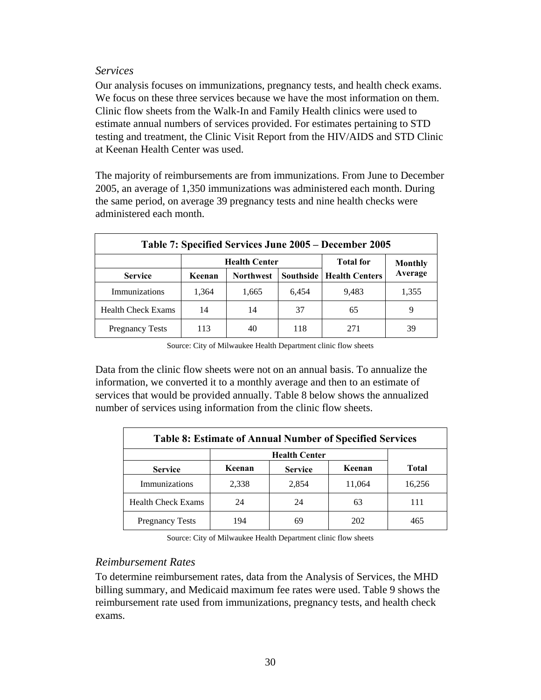#### *Services*

Our analysis focuses on immunizations, pregnancy tests, and health check exams. We focus on these three services because we have the most information on them. Clinic flow sheets from the Walk-In and Family Health clinics were used to estimate annual numbers of services provided. For estimates pertaining to STD testing and treatment, the Clinic Visit Report from the HIV/AIDS and STD Clinic at Keenan Health Center was used.

The majority of reimbursements are from immunizations. From June to December 2005, an average of 1,350 immunizations was administered each month. During the same period, on average 39 pregnancy tests and nine health checks were administered each month.

| Table 7: Specified Services June 2005 – December 2005 |        |                      |                  |                                   |         |  |  |  |
|-------------------------------------------------------|--------|----------------------|------------------|-----------------------------------|---------|--|--|--|
|                                                       |        | <b>Health Center</b> | <b>Total for</b> | <b>Monthly</b>                    |         |  |  |  |
| <b>Service</b>                                        | Keenan | <b>Northwest</b>     |                  | <b>Southside   Health Centers</b> | Average |  |  |  |
| Immunizations                                         | 1,364  | 1,665                | 6,454            | 9,483                             | 1,355   |  |  |  |
| <b>Health Check Exams</b>                             | 14     | 14                   | 37               | 65                                |         |  |  |  |
| <b>Pregnancy Tests</b>                                | 113    | 40                   | 118              | 271                               | 39      |  |  |  |

Source: City of Milwaukee Health Department clinic flow sheets

Data from the clinic flow sheets were not on an annual basis. To annualize the information, we converted it to a monthly average and then to an estimate of services that would be provided annually. Table 8 below shows the annualized number of services using information from the clinic flow sheets.

| <b>Table 8: Estimate of Annual Number of Specified Services</b> |        |                      |        |              |  |  |  |
|-----------------------------------------------------------------|--------|----------------------|--------|--------------|--|--|--|
|                                                                 |        | <b>Health Center</b> |        |              |  |  |  |
| <b>Service</b>                                                  | Keenan | <b>Service</b>       | Keenan | <b>Total</b> |  |  |  |
| Immunizations                                                   | 2,338  | 2,854                | 11,064 | 16,256       |  |  |  |
| <b>Health Check Exams</b>                                       | 24     | 24                   | 63     | 111          |  |  |  |
| <b>Pregnancy Tests</b>                                          | 194    | 69                   | 202    | 465          |  |  |  |

Source: City of Milwaukee Health Department clinic flow sheets

#### *Reimbursement Rates*

To determine reimbursement rates, data from the Analysis of Services, the MHD billing summary, and Medicaid maximum fee rates were used. Table 9 shows the reimbursement rate used from immunizations, pregnancy tests, and health check exams.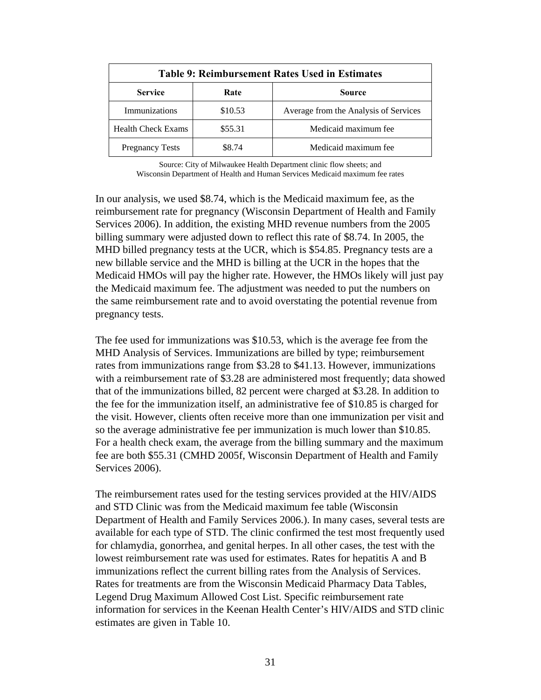| <b>Table 9: Reimbursement Rates Used in Estimates</b> |         |                                       |  |
|-------------------------------------------------------|---------|---------------------------------------|--|
| <b>Service</b>                                        | Rate    | <b>Source</b>                         |  |
| Immunizations                                         | \$10.53 | Average from the Analysis of Services |  |
| <b>Health Check Exams</b>                             | \$55.31 | Medicaid maximum fee                  |  |
| <b>Pregnancy Tests</b>                                | \$8.74  | Medicaid maximum fee                  |  |

Source: City of Milwaukee Health Department clinic flow sheets; and Wisconsin Department of Health and Human Services Medicaid maximum fee rates

In our analysis, we used \$8.74, which is the Medicaid maximum fee, as the reimbursement rate for pregnancy (Wisconsin Department of Health and Family Services 2006). In addition, the existing MHD revenue numbers from the 2005 billing summary were adjusted down to reflect this rate of \$8.74. In 2005, the MHD billed pregnancy tests at the UCR, which is \$54.85. Pregnancy tests are a new billable service and the MHD is billing at the UCR in the hopes that the Medicaid HMOs will pay the higher rate. However, the HMOs likely will just pay the Medicaid maximum fee. The adjustment was needed to put the numbers on the same reimbursement rate and to avoid overstating the potential revenue from pregnancy tests.

The fee used for immunizations was \$10.53, which is the average fee from the MHD Analysis of Services. Immunizations are billed by type; reimbursement rates from immunizations range from \$3.28 to \$41.13. However, immunizations with a reimbursement rate of \$3.28 are administered most frequently; data showed that of the immunizations billed, 82 percent were charged at \$3.28. In addition to the fee for the immunization itself, an administrative fee of \$10.85 is charged for the visit. However, clients often receive more than one immunization per visit and so the average administrative fee per immunization is much lower than \$10.85. For a health check exam, the average from the billing summary and the maximum fee are both \$55.31 (CMHD 2005f, Wisconsin Department of Health and Family Services 2006).

The reimbursement rates used for the testing services provided at the HIV/AIDS and STD Clinic was from the Medicaid maximum fee table (Wisconsin Department of Health and Family Services 2006.). In many cases, several tests are available for each type of STD. The clinic confirmed the test most frequently used for chlamydia, gonorrhea, and genital herpes. In all other cases, the test with the lowest reimbursement rate was used for estimates. Rates for hepatitis A and B immunizations reflect the current billing rates from the Analysis of Services. Rates for treatments are from the Wisconsin Medicaid Pharmacy Data Tables, Legend Drug Maximum Allowed Cost List. Specific reimbursement rate information for services in the Keenan Health Center's HIV/AIDS and STD clinic estimates are given in Table 10.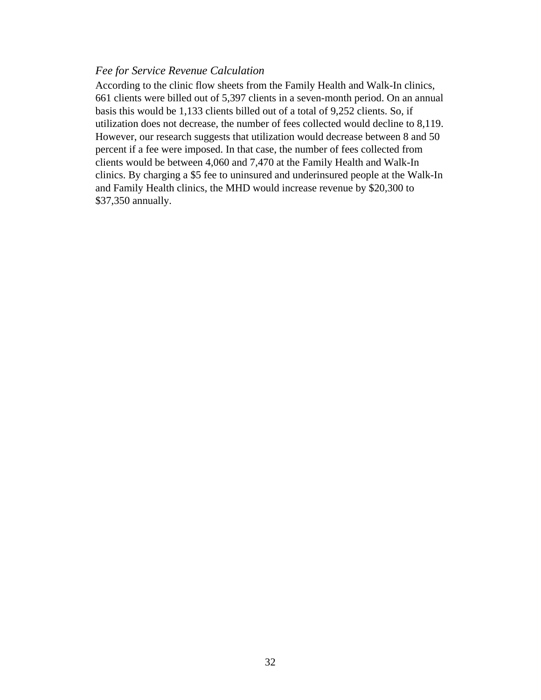#### *Fee for Service Revenue Calculation*

According to the clinic flow sheets from the Family Health and Walk-In clinics, 661 clients were billed out of 5,397 clients in a seven-month period. On an annual basis this would be 1,133 clients billed out of a total of 9,252 clients. So, if utilization does not decrease, the number of fees collected would decline to 8,119. However, our research suggests that utilization would decrease between 8 and 50 percent if a fee were imposed. In that case, the number of fees collected from clients would be between 4,060 and 7,470 at the Family Health and Walk-In clinics. By charging a \$5 fee to uninsured and underinsured people at the Walk-In and Family Health clinics, the MHD would increase revenue by \$20,300 to \$37,350 annually.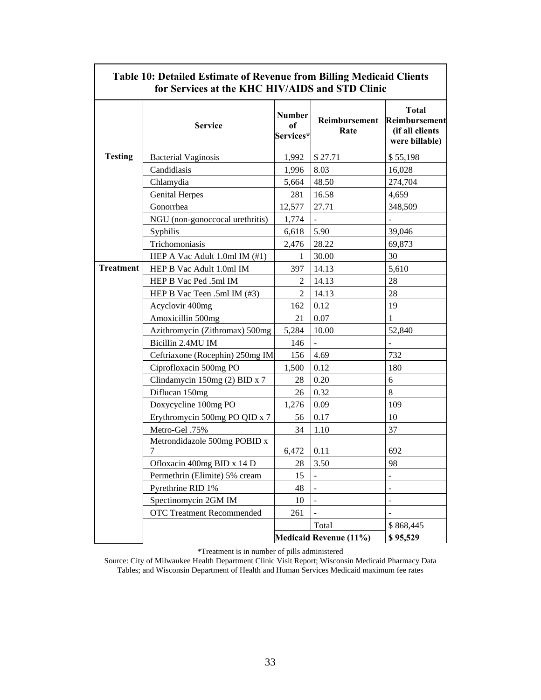|                  | Table 10: Detailed Estimate of Revenue from Billing Medicaid Clients<br>for Services at the KHC HIV/AIDS and STD Clinic |                                  |                               |                                                                    |
|------------------|-------------------------------------------------------------------------------------------------------------------------|----------------------------------|-------------------------------|--------------------------------------------------------------------|
|                  | <b>Service</b>                                                                                                          | <b>Number</b><br>of<br>Services* | Reimbursement<br>Rate         | <b>Total</b><br>Reimbursement<br>(if all clients<br>were billable) |
| <b>Testing</b>   | <b>Bacterial Vaginosis</b>                                                                                              | 1,992                            | \$27.71                       | \$55,198                                                           |
|                  | Candidiasis                                                                                                             | 1,996                            | 8.03                          | 16,028                                                             |
|                  | Chlamydia                                                                                                               | 5,664                            | 48.50                         | 274,704                                                            |
|                  | <b>Genital Herpes</b>                                                                                                   | 281                              | 16.58                         | 4,659                                                              |
|                  | Gonorrhea                                                                                                               | 12,577                           | 27.71                         | 348,509                                                            |
|                  | NGU (non-gonoccocal urethritis)                                                                                         | 1,774                            |                               |                                                                    |
|                  | Syphilis                                                                                                                | 6,618                            | 5.90                          | 39,046                                                             |
|                  | Trichomoniasis                                                                                                          | 2,476                            | 28.22                         | 69,873                                                             |
|                  | HEP A Vac Adult 1.0ml IM (#1)                                                                                           | 1                                | 30.00                         | 30                                                                 |
| <b>Treatment</b> | HEP B Vac Adult 1.0ml IM                                                                                                | 397                              | 14.13                         | 5,610                                                              |
|                  | HEP B Vac Ped .5ml IM                                                                                                   | 2                                | 14.13                         | 28                                                                 |
|                  | HEP B Vac Teen .5ml IM (#3)                                                                                             | 2                                | 14.13                         | 28                                                                 |
|                  | Acyclovir 400mg                                                                                                         | 162                              | 0.12                          | 19                                                                 |
|                  | Amoxicillin 500mg                                                                                                       | 21                               | 0.07                          | 1                                                                  |
|                  | Azithromycin (Zithromax) 500mg                                                                                          | 5,284                            | 10.00                         | 52,840                                                             |
|                  | Bicillin 2.4MU IM                                                                                                       | 146                              |                               |                                                                    |
|                  | Ceftriaxone (Rocephin) 250mg IM                                                                                         | 156                              | 4.69                          | 732                                                                |
|                  | Ciprofloxacin 500mg PO                                                                                                  | 1,500                            | 0.12                          | 180                                                                |
|                  | Clindamycin 150mg (2) BID x 7                                                                                           | 28                               | 0.20                          | 6                                                                  |
|                  | Diflucan 150mg                                                                                                          | 26                               | 0.32                          | $\,8\,$                                                            |
|                  | Doxycycline 100mg PO                                                                                                    | 1,276                            | 0.09                          | 109                                                                |
|                  | Erythromycin 500mg PO QID x 7                                                                                           | 56                               | 0.17                          | 10                                                                 |
|                  | Metro-Gel .75%                                                                                                          | 34                               | 1.10                          | 37                                                                 |
|                  | Metrondidazole 500mg POBID x                                                                                            |                                  |                               |                                                                    |
|                  |                                                                                                                         | 6,472                            | 0.11                          | 692                                                                |
|                  | Ofloxacin 400mg BID x 14 D                                                                                              | 28                               | 3.50                          | 98                                                                 |
|                  | Permethrin (Elimite) 5% cream                                                                                           | 15                               |                               |                                                                    |
|                  | Pyrethrine RID 1%                                                                                                       | 48                               |                               | $\ddot{\phantom{1}}$                                               |
|                  | Spectinomycin 2GM IM                                                                                                    | 10                               |                               | ÷.                                                                 |
|                  | <b>OTC Treatment Recommended</b>                                                                                        | 261                              |                               |                                                                    |
|                  |                                                                                                                         |                                  | Total                         | \$868,445                                                          |
|                  |                                                                                                                         |                                  | <b>Medicaid Revenue (11%)</b> | \$95,529                                                           |

# **Table 10: Detailed Estimate of Revenue from Billing Medicaid Clients**

 $\Gamma$ 

\*Treatment is in number of pills administered

Source: City of Milwaukee Health Department Clinic Visit Report; Wisconsin Medicaid Pharmacy Data Tables; and Wisconsin Department of Health and Human Services Medicaid maximum fee rates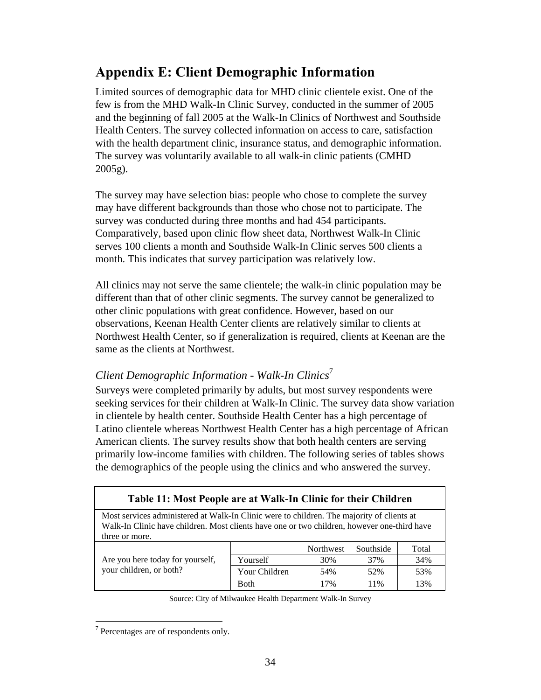### **Appendix E: Client Demographic Information**

Limited sources of demographic data for MHD clinic clientele exist. One of the few is from the MHD Walk-In Clinic Survey, conducted in the summer of 2005 and the beginning of fall 2005 at the Walk-In Clinics of Northwest and Southside Health Centers. The survey collected information on access to care, satisfaction with the health department clinic, insurance status, and demographic information. The survey was voluntarily available to all walk-in clinic patients (CMHD 2005g).

The survey may have selection bias: people who chose to complete the survey may have different backgrounds than those who chose not to participate. The survey was conducted during three months and had 454 participants. Comparatively, based upon clinic flow sheet data, Northwest Walk-In Clinic serves 100 clients a month and Southside Walk-In Clinic serves 500 clients a month. This indicates that survey participation was relatively low.

All clinics may not serve the same clientele; the walk-in clinic population may be different than that of other clinic segments. The survey cannot be generalized to other clinic populations with great confidence. However, based on our observations, Keenan Health Center clients are relatively similar to clients at Northwest Health Center, so if generalization is required, clients at Keenan are the same as the clients at Northwest.

#### *Client Demographic Information - Walk-In Clinics*<sup>7</sup>

Surveys were completed primarily by adults, but most survey respondents were seeking services for their children at Walk-In Clinic. The survey data show variation in clientele by health center. Southside Health Center has a high percentage of Latino clientele whereas Northwest Health Center has a high percentage of African American clients. The survey results show that both health centers are serving primarily low-income families with children. The following series of tables shows the demographics of the people using the clinics and who answered the survey.

| Table 11: Most People are at Walk-In Clinic for their Children                                                                                                                                             |               |           |           |       |
|------------------------------------------------------------------------------------------------------------------------------------------------------------------------------------------------------------|---------------|-----------|-----------|-------|
| Most services administered at Walk-In Clinic were to children. The majority of clients at<br>Walk-In Clinic have children. Most clients have one or two children, however one-third have<br>three or more. |               |           |           |       |
|                                                                                                                                                                                                            |               | Northwest | Southside | Total |
| 37%<br>Are you here today for yourself,<br>30%<br>Yourself                                                                                                                                                 |               |           |           | 34%   |
| your children, or both?                                                                                                                                                                                    | Your Children | 54%       | 52%       | 53%   |
|                                                                                                                                                                                                            | <b>B</b> oth  | 17%       | 11%       | 13%   |

 $\overline{a}$  $7$  Percentages are of respondents only.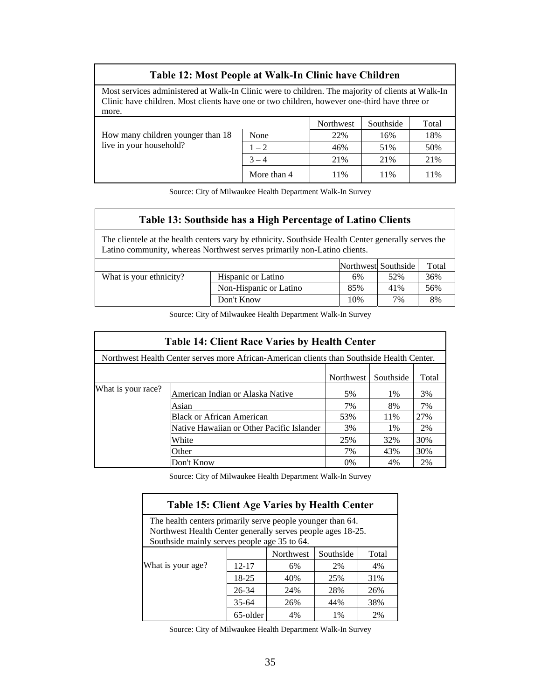#### **Table 12: Most People at Walk-In Clinic have Children**

Most services administered at Walk-In Clinic were to children. The majority of clients at Walk-In Clinic have children. Most clients have one or two children, however one-third have three or more.

|                                   |             | Northwest | Southside | Total |
|-----------------------------------|-------------|-----------|-----------|-------|
| How many children younger than 18 | None        | 22%       | 16%       | 18%   |
| live in your household?           | $1 - 2$     | 46%       | 51%       | 50%   |
|                                   | $3 - 4$     | 21%       | 21%       | 21%   |
|                                   | More than 4 | 11%       | 11%       | 11%   |

Source: City of Milwaukee Health Department Walk-In Survey

#### **Table 13: Southside has a High Percentage of Latino Clients**

The clientele at the health centers vary by ethnicity. Southside Health Center generally serves the Latino community, whereas Northwest serves primarily non-Latino clients.

|                         |                           |     | Northwest Southside | Total |
|-------------------------|---------------------------|-----|---------------------|-------|
| What is your ethnicity? | <b>Hispanic or Latino</b> | 6%  | 52%                 | 36%   |
|                         | Non-Hispanic or Latino    | 85% | 41%                 | 56%   |
|                         | Don't Know                | 10% | 7%                  | 8%    |

Source: City of Milwaukee Health Department Walk-In Survey

| <b>Table 14: Client Race Varies by Health Center</b>                                       |                                           |     |     |     |
|--------------------------------------------------------------------------------------------|-------------------------------------------|-----|-----|-----|
| Northwest Health Center serves more African-American clients than Southside Health Center. |                                           |     |     |     |
| Northwest<br>Southside<br>Total                                                            |                                           |     |     |     |
| What is your race?                                                                         | American Indian or Alaska Native          | 5%  | 1%  | 3%  |
|                                                                                            | Asian                                     | 7%  | 8%  | 7%  |
|                                                                                            | <b>Black or African American</b>          | 53% | 11% | 27% |
|                                                                                            | Native Hawaiian or Other Pacific Islander | 3%  | 1%  | 2%  |
|                                                                                            | White                                     | 25% | 32% | 30% |
|                                                                                            | Other                                     | 7%  | 43% | 30% |
|                                                                                            | Don't Know                                | 0%  | 4%  | 2%  |

Source: City of Milwaukee Health Department Walk-In Survey

| <b>Table 15: Client Age Varies by Health Center</b>                                                                                                                       |          |           |           |       |  |
|---------------------------------------------------------------------------------------------------------------------------------------------------------------------------|----------|-----------|-----------|-------|--|
| The health centers primarily serve people younger than 64.<br>Northwest Health Center generally serves people ages 18-25.<br>Southside mainly serves people age 35 to 64. |          |           |           |       |  |
|                                                                                                                                                                           |          | Northwest | Southside | Total |  |
| What is your age?                                                                                                                                                         | 12-17    | 6%        | 2%        | 4%    |  |
|                                                                                                                                                                           | 18-25    | 40%       | 25%       | 31%   |  |
|                                                                                                                                                                           | 26-34    | 24%       | 28%       | 26%   |  |
| $35 - 64$<br>44%<br>26%<br>38%                                                                                                                                            |          |           |           |       |  |
|                                                                                                                                                                           | 65-older | 4%        | 1%        | 2%    |  |

Source: City of Milwaukee Health Department Walk-In Survey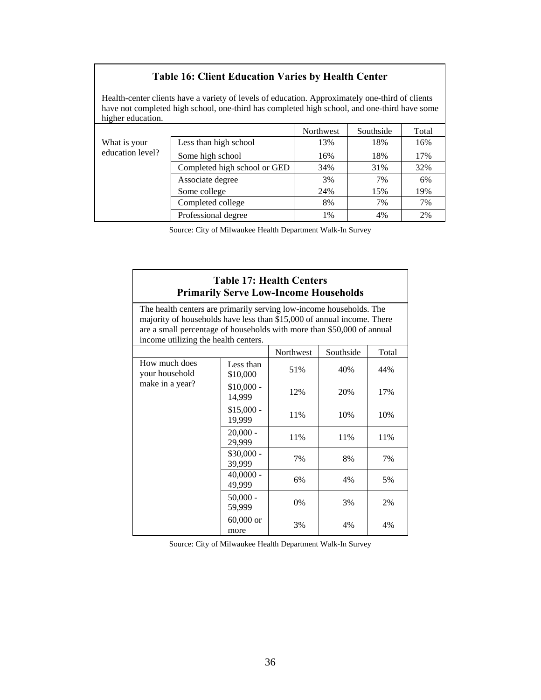| <b>Table 16: Client Education Varies by Health Center</b>                                                                                                                                                            |                              |           |           |       |
|----------------------------------------------------------------------------------------------------------------------------------------------------------------------------------------------------------------------|------------------------------|-----------|-----------|-------|
| Health-center clients have a variety of levels of education. Approximately one-third of clients<br>have not completed high school, one-third has completed high school, and one-third have some<br>higher education. |                              |           |           |       |
|                                                                                                                                                                                                                      |                              | Northwest | Southside | Total |
| What is your                                                                                                                                                                                                         | Less than high school        | 13%       | 18%       | 16%   |
| education level?                                                                                                                                                                                                     | Some high school             | 16%       | 18%       | 17%   |
|                                                                                                                                                                                                                      | Completed high school or GED | 34%       | 31%       | 32%   |
|                                                                                                                                                                                                                      | Associate degree             | 3%        | 7%        | 6%    |
|                                                                                                                                                                                                                      | Some college                 | 24%       | 15%       | 19%   |
|                                                                                                                                                                                                                      | Completed college            | 8%        | 7%        | 7%    |
|                                                                                                                                                                                                                      | Professional degree          | $1\%$     | 4%        | 2%    |

Source: City of Milwaukee Health Department Walk-In Survey

#### **Table 17: Health Centers Primarily Serve Low-Income Households**

The health centers are primarily serving low-income households. The majority of households have less than \$15,000 of annual income. There are a small percentage of households with more than \$50,000 of annual income utilizing the health centers.

| meonie utilizing the nearly centers.               |                       |           |           |       |
|----------------------------------------------------|-----------------------|-----------|-----------|-------|
|                                                    |                       | Northwest | Southside | Total |
| How much does<br>your household<br>make in a year? | Less than<br>\$10,000 | 51%       | 40%       | 44%   |
|                                                    | $$10,000 -$<br>14,999 | 12%       | 20%       | 17%   |
|                                                    | $$15,000 -$<br>19,999 | 11%       | 10%       | 10%   |
|                                                    | $20,000 -$<br>29,999  | 11%       | 11%       | 11%   |
|                                                    | $$30,000 -$<br>39,999 | 7%        | 8%        | 7%    |
|                                                    | $40,0000 -$<br>49,999 | 6%        | 4%        | 5%    |
|                                                    | $50,000 -$<br>59,999  | 0%        | 3%        | 2%    |
|                                                    | $60,000$ or<br>more   | 3%        | 4%        | 4%    |

Source: City of Milwaukee Health Department Walk-In Survey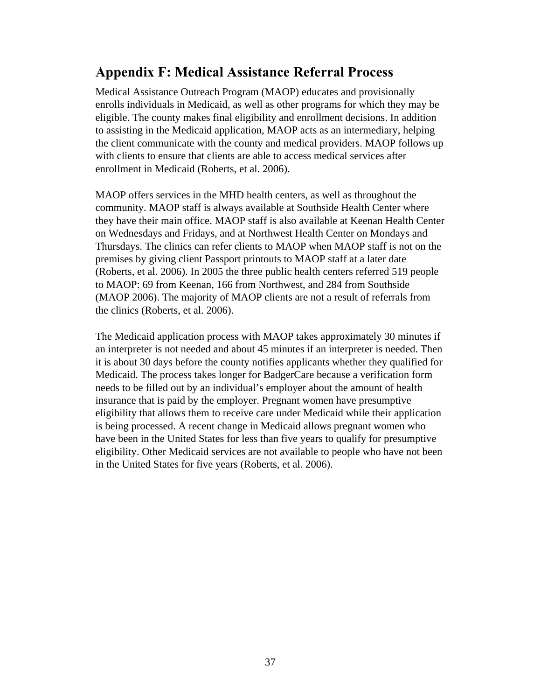### **Appendix F: Medical Assistance Referral Process**

Medical Assistance Outreach Program (MAOP) educates and provisionally enrolls individuals in Medicaid, as well as other programs for which they may be eligible. The county makes final eligibility and enrollment decisions. In addition to assisting in the Medicaid application, MAOP acts as an intermediary, helping the client communicate with the county and medical providers. MAOP follows up with clients to ensure that clients are able to access medical services after enrollment in Medicaid (Roberts, et al. 2006).

MAOP offers services in the MHD health centers, as well as throughout the community. MAOP staff is always available at Southside Health Center where they have their main office. MAOP staff is also available at Keenan Health Center on Wednesdays and Fridays, and at Northwest Health Center on Mondays and Thursdays. The clinics can refer clients to MAOP when MAOP staff is not on the premises by giving client Passport printouts to MAOP staff at a later date (Roberts, et al. 2006). In 2005 the three public health centers referred 519 people to MAOP: 69 from Keenan, 166 from Northwest, and 284 from Southside (MAOP 2006). The majority of MAOP clients are not a result of referrals from the clinics (Roberts, et al. 2006).

The Medicaid application process with MAOP takes approximately 30 minutes if an interpreter is not needed and about 45 minutes if an interpreter is needed. Then it is about 30 days before the county notifies applicants whether they qualified for Medicaid. The process takes longer for BadgerCare because a verification form needs to be filled out by an individual's employer about the amount of health insurance that is paid by the employer. Pregnant women have presumptive eligibility that allows them to receive care under Medicaid while their application is being processed. A recent change in Medicaid allows pregnant women who have been in the United States for less than five years to qualify for presumptive eligibility. Other Medicaid services are not available to people who have not been in the United States for five years (Roberts, et al. 2006).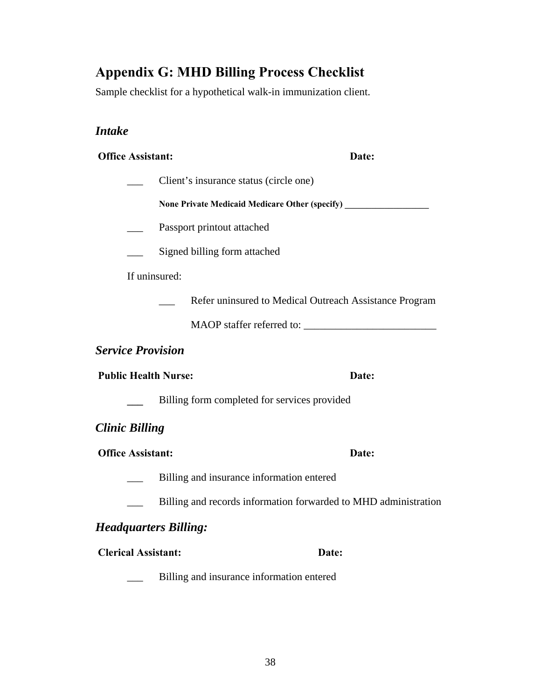## **Appendix G: MHD Billing Process Checklist**

Sample checklist for a hypothetical walk-in immunization client.

### *Intake*

| <b>Office Assistant:</b>     |                                                                                   | Date: |  |
|------------------------------|-----------------------------------------------------------------------------------|-------|--|
|                              | Client's insurance status (circle one)                                            |       |  |
|                              | None Private Medicaid Medicare Other (specify) __________________________________ |       |  |
|                              | Passport printout attached                                                        |       |  |
|                              | Signed billing form attached                                                      |       |  |
| If uninsured:                |                                                                                   |       |  |
|                              | Refer uninsured to Medical Outreach Assistance Program                            |       |  |
|                              |                                                                                   |       |  |
| <b>Service Provision</b>     |                                                                                   |       |  |
| <b>Public Health Nurse:</b>  |                                                                                   | Date: |  |
|                              | Billing form completed for services provided                                      |       |  |
| <b>Clinic Billing</b>        |                                                                                   |       |  |
| <b>Office Assistant:</b>     |                                                                                   | Date: |  |
|                              | Billing and insurance information entered                                         |       |  |
|                              | Billing and records information forwarded to MHD administration                   |       |  |
| <b>Headquarters Billing:</b> |                                                                                   |       |  |
| <b>Clerical Assistant:</b>   |                                                                                   | Date: |  |

\_\_\_ Billing and insurance information entered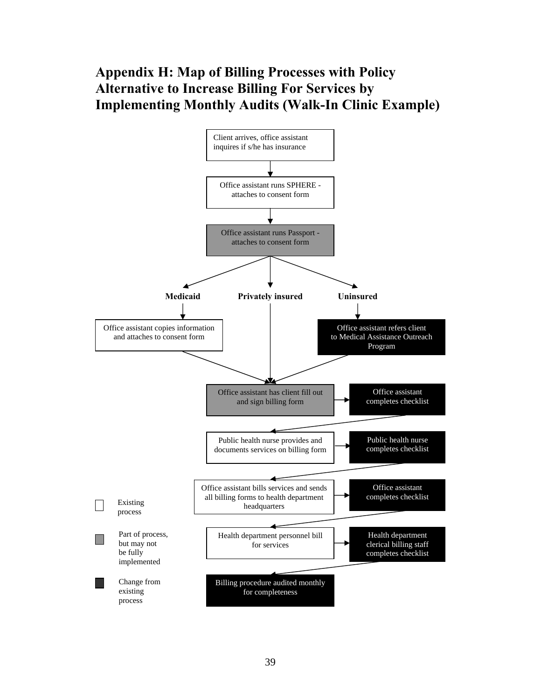### **Appendix H: Map of Billing Processes with Policy Alternative to Increase Billing For Services by Implementing Monthly Audits (Walk-In Clinic Example)**

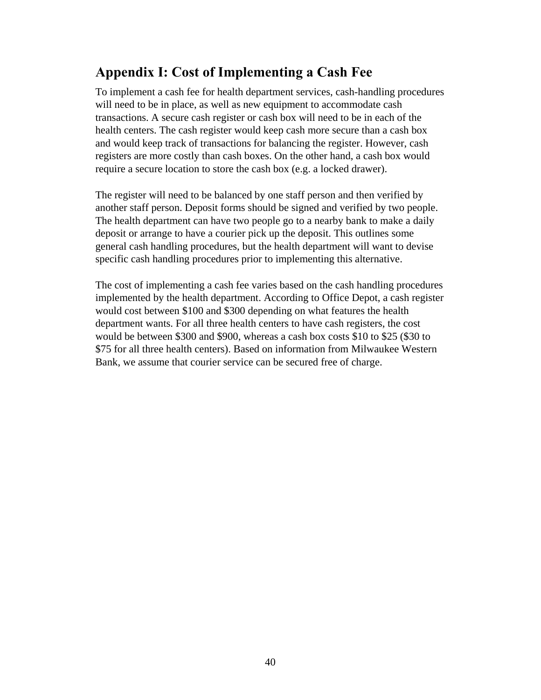### **Appendix I: Cost of Implementing a Cash Fee**

To implement a cash fee for health department services, cash-handling procedures will need to be in place, as well as new equipment to accommodate cash transactions. A secure cash register or cash box will need to be in each of the health centers. The cash register would keep cash more secure than a cash box and would keep track of transactions for balancing the register. However, cash registers are more costly than cash boxes. On the other hand, a cash box would require a secure location to store the cash box (e.g. a locked drawer).

The register will need to be balanced by one staff person and then verified by another staff person. Deposit forms should be signed and verified by two people. The health department can have two people go to a nearby bank to make a daily deposit or arrange to have a courier pick up the deposit. This outlines some general cash handling procedures, but the health department will want to devise specific cash handling procedures prior to implementing this alternative.

The cost of implementing a cash fee varies based on the cash handling procedures implemented by the health department. According to Office Depot, a cash register would cost between \$100 and \$300 depending on what features the health department wants. For all three health centers to have cash registers, the cost would be between \$300 and \$900, whereas a cash box costs \$10 to \$25 (\$30 to \$75 for all three health centers). Based on information from Milwaukee Western Bank, we assume that courier service can be secured free of charge.